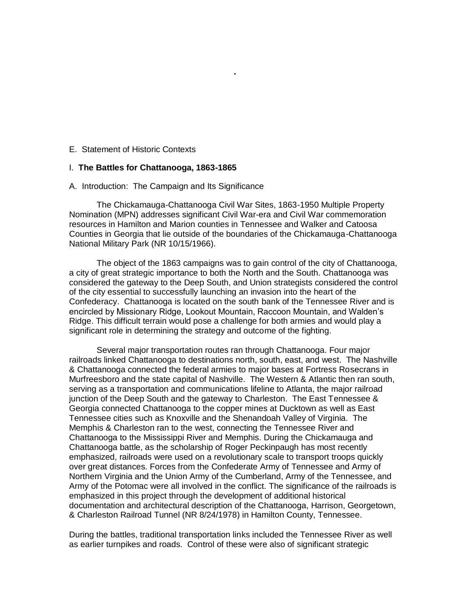### E. Statement of Historic Contexts

#### I. **The Battles for Chattanooga, 1863-1865**

### A. Introduction: The Campaign and Its Significance

The Chickamauga-Chattanooga Civil War Sites, 1863-1950 Multiple Property Nomination (MPN) addresses significant Civil War-era and Civil War commemoration resources in Hamilton and Marion counties in Tennessee and Walker and Catoosa Counties in Georgia that lie outside of the boundaries of the Chickamauga-Chattanooga National Military Park (NR 10/15/1966).

**.**

The object of the 1863 campaigns was to gain control of the city of Chattanooga, a city of great strategic importance to both the North and the South. Chattanooga was considered the gateway to the Deep South, and Union strategists considered the control of the city essential to successfully launching an invasion into the heart of the Confederacy. Chattanooga is located on the south bank of the Tennessee River and is encircled by Missionary Ridge, Lookout Mountain, Raccoon Mountain, and Walden's Ridge. This difficult terrain would pose a challenge for both armies and would play a significant role in determining the strategy and outcome of the fighting.

Several major transportation routes ran through Chattanooga. Four major railroads linked Chattanooga to destinations north, south, east, and west. The Nashville & Chattanooga connected the federal armies to major bases at Fortress Rosecrans in Murfreesboro and the state capital of Nashville. The Western & Atlantic then ran south, serving as a transportation and communications lifeline to Atlanta, the major railroad junction of the Deep South and the gateway to Charleston. The East Tennessee & Georgia connected Chattanooga to the copper mines at Ducktown as well as East Tennessee cities such as Knoxville and the Shenandoah Valley of Virginia. The Memphis & Charleston ran to the west, connecting the Tennessee River and Chattanooga to the Mississippi River and Memphis. During the Chickamauga and Chattanooga battle, as the scholarship of Roger Peckinpaugh has most recently emphasized, railroads were used on a revolutionary scale to transport troops quickly over great distances. Forces from the Confederate Army of Tennessee and Army of Northern Virginia and the Union Army of the Cumberland, Army of the Tennessee, and Army of the Potomac were all involved in the conflict. The significance of the railroads is emphasized in this project through the development of additional historical documentation and architectural description of the Chattanooga, Harrison, Georgetown, & Charleston Railroad Tunnel (NR 8/24/1978) in Hamilton County, Tennessee.

During the battles, traditional transportation links included the Tennessee River as well as earlier turnpikes and roads. Control of these were also of significant strategic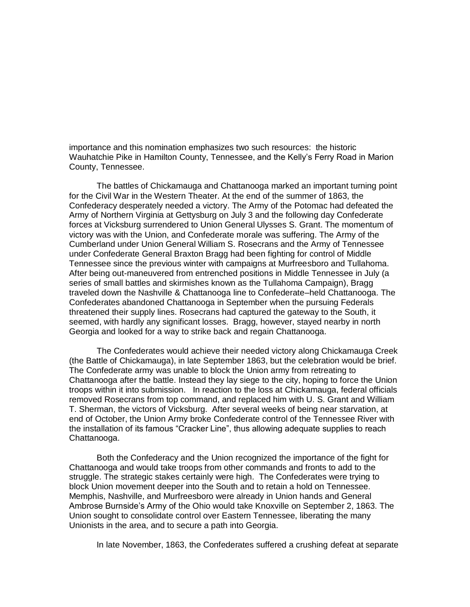importance and this nomination emphasizes two such resources: the historic Wauhatchie Pike in Hamilton County, Tennessee, and the Kelly's Ferry Road in Marion County, Tennessee.

The battles of Chickamauga and Chattanooga marked an important turning point for the Civil War in the Western Theater. At the end of the summer of 1863, the Confederacy desperately needed a victory. The Army of the Potomac had defeated the Army of Northern Virginia at Gettysburg on July 3 and the following day Confederate forces at Vicksburg surrendered to Union General Ulysses S. Grant. The momentum of victory was with the Union, and Confederate morale was suffering. The Army of the Cumberland under Union General William S. Rosecrans and the Army of Tennessee under Confederate General Braxton Bragg had been fighting for control of Middle Tennessee since the previous winter with campaigns at Murfreesboro and Tullahoma. After being out-maneuvered from entrenched positions in Middle Tennessee in July (a series of small battles and skirmishes known as the Tullahoma Campaign), Bragg traveled down the Nashville & Chattanooga line to Confederate–held Chattanooga. The Confederates abandoned Chattanooga in September when the pursuing Federals threatened their supply lines. Rosecrans had captured the gateway to the South, it seemed, with hardly any significant losses. Bragg, however, stayed nearby in north Georgia and looked for a way to strike back and regain Chattanooga.

The Confederates would achieve their needed victory along Chickamauga Creek (the Battle of Chickamauga), in late September 1863, but the celebration would be brief. The Confederate army was unable to block the Union army from retreating to Chattanooga after the battle. Instead they lay siege to the city, hoping to force the Union troops within it into submission. In reaction to the loss at Chickamauga, federal officials removed Rosecrans from top command, and replaced him with U. S. Grant and William T. Sherman, the victors of Vicksburg. After several weeks of being near starvation, at end of October, the Union Army broke Confederate control of the Tennessee River with the installation of its famous "Cracker Line", thus allowing adequate supplies to reach Chattanooga.

Both the Confederacy and the Union recognized the importance of the fight for Chattanooga and would take troops from other commands and fronts to add to the struggle. The strategic stakes certainly were high. The Confederates were trying to block Union movement deeper into the South and to retain a hold on Tennessee. Memphis, Nashville, and Murfreesboro were already in Union hands and General Ambrose Burnside's Army of the Ohio would take Knoxville on September 2, 1863. The Union sought to consolidate control over Eastern Tennessee, liberating the many Unionists in the area, and to secure a path into Georgia.

In late November, 1863, the Confederates suffered a crushing defeat at separate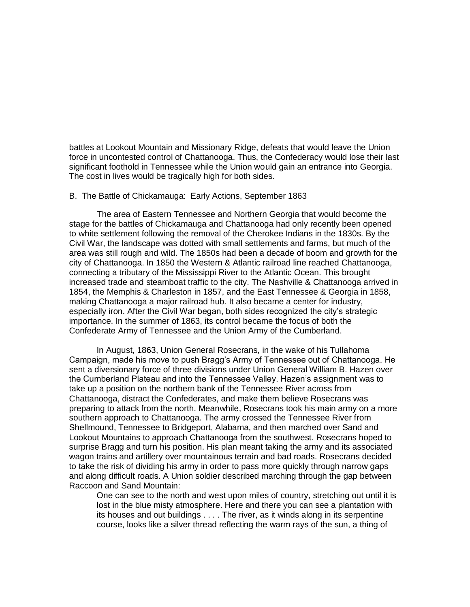battles at Lookout Mountain and Missionary Ridge, defeats that would leave the Union force in uncontested control of Chattanooga. Thus, the Confederacy would lose their last significant foothold in Tennessee while the Union would gain an entrance into Georgia. The cost in lives would be tragically high for both sides.

#### B. The Battle of Chickamauga: Early Actions, September 1863

The area of Eastern Tennessee and Northern Georgia that would become the stage for the battles of Chickamauga and Chattanooga had only recently been opened to white settlement following the removal of the Cherokee Indians in the 1830s. By the Civil War, the landscape was dotted with small settlements and farms, but much of the area was still rough and wild. The 1850s had been a decade of boom and growth for the city of Chattanooga. In 1850 the Western & Atlantic railroad line reached Chattanooga, connecting a tributary of the Mississippi River to the Atlantic Ocean. This brought increased trade and steamboat traffic to the city. The Nashville & Chattanooga arrived in 1854, the Memphis & Charleston in 1857, and the East Tennessee & Georgia in 1858, making Chattanooga a major railroad hub. It also became a center for industry, especially iron. After the Civil War began, both sides recognized the city's strategic importance. In the summer of 1863, its control became the focus of both the Confederate Army of Tennessee and the Union Army of the Cumberland.

In August, 1863, Union General Rosecrans, in the wake of his Tullahoma Campaign, made his move to push Bragg's Army of Tennessee out of Chattanooga. He sent a diversionary force of three divisions under Union General William B. Hazen over the Cumberland Plateau and into the Tennessee Valley. Hazen's assignment was to take up a position on the northern bank of the Tennessee River across from Chattanooga, distract the Confederates, and make them believe Rosecrans was preparing to attack from the north. Meanwhile, Rosecrans took his main army on a more southern approach to Chattanooga. The army crossed the Tennessee River from Shellmound, Tennessee to Bridgeport, Alabama, and then marched over Sand and Lookout Mountains to approach Chattanooga from the southwest. Rosecrans hoped to surprise Bragg and turn his position. His plan meant taking the army and its associated wagon trains and artillery over mountainous terrain and bad roads. Rosecrans decided to take the risk of dividing his army in order to pass more quickly through narrow gaps and along difficult roads. A Union soldier described marching through the gap between Raccoon and Sand Mountain:

One can see to the north and west upon miles of country, stretching out until it is lost in the blue misty atmosphere. Here and there you can see a plantation with its houses and out buildings . . . . The river, as it winds along in its serpentine course, looks like a silver thread reflecting the warm rays of the sun, a thing of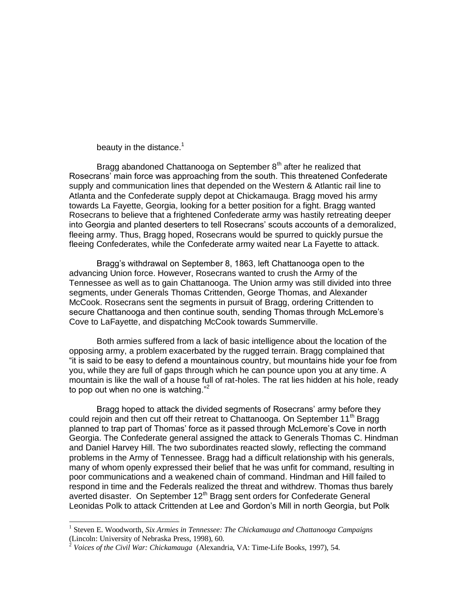beauty in the distance. $1$ 

Bragg abandoned Chattanooga on September  $8<sup>th</sup>$  after he realized that Rosecrans' main force was approaching from the south. This threatened Confederate supply and communication lines that depended on the Western & Atlantic rail line to Atlanta and the Confederate supply depot at Chickamauga. Bragg moved his army towards La Fayette, Georgia, looking for a better position for a fight. Bragg wanted Rosecrans to believe that a frightened Confederate army was hastily retreating deeper into Georgia and planted deserters to tell Rosecrans' scouts accounts of a demoralized, fleeing army. Thus, Bragg hoped, Rosecrans would be spurred to quickly pursue the fleeing Confederates, while the Confederate army waited near La Fayette to attack.

Bragg's withdrawal on September 8, 1863, left Chattanooga open to the advancing Union force. However, Rosecrans wanted to crush the Army of the Tennessee as well as to gain Chattanooga. The Union army was still divided into three segments, under Generals Thomas Crittenden, George Thomas, and Alexander McCook. Rosecrans sent the segments in pursuit of Bragg, ordering Crittenden to secure Chattanooga and then continue south, sending Thomas through McLemore's Cove to LaFayette, and dispatching McCook towards Summerville.

Both armies suffered from a lack of basic intelligence about the location of the opposing army, a problem exacerbated by the rugged terrain. Bragg complained that ―it is said to be easy to defend a mountainous country, but mountains hide your foe from you, while they are full of gaps through which he can pounce upon you at any time. A mountain is like the wall of a house full of rat-holes. The rat lies hidden at his hole, ready to pop out when no one is watching."<sup>2</sup>

Bragg hoped to attack the divided segments of Rosecrans' army before they could rejoin and then cut off their retreat to Chattanooga. On September 11<sup>th</sup> Bragg planned to trap part of Thomas' force as it passed through McLemore's Cove in north Georgia. The Confederate general assigned the attack to Generals Thomas C. Hindman and Daniel Harvey Hill. The two subordinates reacted slowly, reflecting the command problems in the Army of Tennessee. Bragg had a difficult relationship with his generals, many of whom openly expressed their belief that he was unfit for command, resulting in poor communications and a weakened chain of command. Hindman and Hill failed to respond in time and the Federals realized the threat and withdrew. Thomas thus barely averted disaster. On September  $12<sup>th</sup>$  Bragg sent orders for Confederate General Leonidas Polk to attack Crittenden at Lee and Gordon's Mill in north Georgia, but Polk

<sup>&</sup>lt;sup>1</sup> Steven E. Woodworth, *Six Armies in Tennessee: The Chickamauga and Chattanooga Campaigns* (Lincoln: University of Nebraska Press, 1998), 60.

<sup>2</sup> *Voices of the Civil War: Chickamauga* (Alexandria, VA: Time-Life Books, 1997), 54.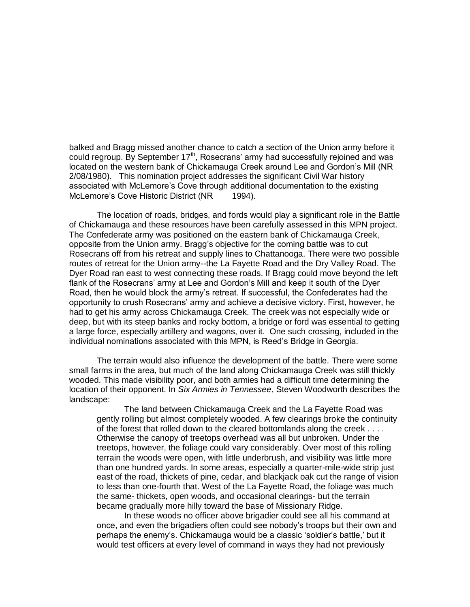balked and Bragg missed another chance to catch a section of the Union army before it could regroup. By September 17<sup>th</sup>, Rosecrans' army had successfully rejoined and was located on the western bank of Chickamauga Creek around Lee and Gordon's Mill (NR 2/08/1980). This nomination project addresses the significant Civil War history associated with McLemore's Cove through additional documentation to the existing McLemore's Cove Historic District (NR 1994).

The location of roads, bridges, and fords would play a significant role in the Battle of Chickamauga and these resources have been carefully assessed in this MPN project. The Confederate army was positioned on the eastern bank of Chickamauga Creek, opposite from the Union army. Bragg's objective for the coming battle was to cut Rosecrans off from his retreat and supply lines to Chattanooga. There were two possible routes of retreat for the Union army--the La Fayette Road and the Dry Valley Road. The Dyer Road ran east to west connecting these roads. If Bragg could move beyond the left flank of the Rosecrans' army at Lee and Gordon's Mill and keep it south of the Dyer Road, then he would block the army's retreat. If successful, the Confederates had the opportunity to crush Rosecrans' army and achieve a decisive victory. First, however, he had to get his army across Chickamauga Creek. The creek was not especially wide or deep, but with its steep banks and rocky bottom, a bridge or ford was essential to getting a large force, especially artillery and wagons, over it. One such crossing, included in the individual nominations associated with this MPN, is Reed's Bridge in Georgia.

The terrain would also influence the development of the battle. There were some small farms in the area, but much of the land along Chickamauga Creek was still thickly wooded. This made visibility poor, and both armies had a difficult time determining the location of their opponent. In *Six Armies in Tennessee*, Steven Woodworth describes the landscape:

The land between Chickamauga Creek and the La Fayette Road was gently rolling but almost completely wooded. A few clearings broke the continuity of the forest that rolled down to the cleared bottomlands along the creek . . . . Otherwise the canopy of treetops overhead was all but unbroken. Under the treetops, however, the foliage could vary considerably. Over most of this rolling terrain the woods were open, with little underbrush, and visibility was little more than one hundred yards. In some areas, especially a quarter-mile-wide strip just east of the road, thickets of pine, cedar, and blackjack oak cut the range of vision to less than one-fourth that. West of the La Fayette Road, the foliage was much the same- thickets, open woods, and occasional clearings- but the terrain became gradually more hilly toward the base of Missionary Ridge.

In these woods no officer above brigadier could see all his command at once, and even the brigadiers often could see nobody's troops but their own and perhaps the enemy's. Chickamauga would be a classic 'soldier's battle,' but it would test officers at every level of command in ways they had not previously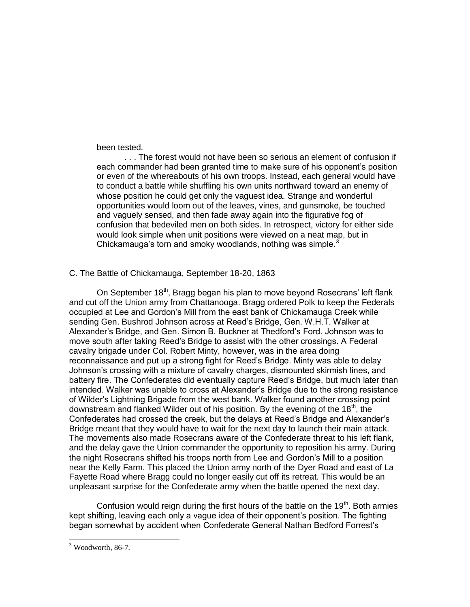been tested.

. . . The forest would not have been so serious an element of confusion if each commander had been granted time to make sure of his opponent's position or even of the whereabouts of his own troops. Instead, each general would have to conduct a battle while shuffling his own units northward toward an enemy of whose position he could get only the vaguest idea. Strange and wonderful opportunities would loom out of the leaves, vines, and gunsmoke, be touched and vaguely sensed, and then fade away again into the figurative fog of confusion that bedeviled men on both sides. In retrospect, victory for either side would look simple when unit positions were viewed on a neat map, but in Chickamauga's torn and smoky woodlands, nothing was simple.<sup>3</sup>

### C. The Battle of Chickamauga, September 18-20, 1863

On September 18<sup>th</sup>, Bragg began his plan to move beyond Rosecrans' left flank and cut off the Union army from Chattanooga. Bragg ordered Polk to keep the Federals occupied at Lee and Gordon's Mill from the east bank of Chickamauga Creek while sending Gen. Bushrod Johnson across at Reed's Bridge, Gen. W.H.T. Walker at Alexander's Bridge, and Gen. Simon B. Buckner at Thedford's Ford. Johnson was to move south after taking Reed's Bridge to assist with the other crossings. A Federal cavalry brigade under Col. Robert Minty, however, was in the area doing reconnaissance and put up a strong fight for Reed's Bridge. Minty was able to delay Johnson's crossing with a mixture of cavalry charges, dismounted skirmish lines, and battery fire. The Confederates did eventually capture Reed's Bridge, but much later than intended. Walker was unable to cross at Alexander's Bridge due to the strong resistance of Wilder's Lightning Brigade from the west bank. Walker found another crossing point downstream and flanked Wilder out of his position. By the evening of the 18<sup>th</sup>, the Confederates had crossed the creek, but the delays at Reed's Bridge and Alexander's Bridge meant that they would have to wait for the next day to launch their main attack. The movements also made Rosecrans aware of the Confederate threat to his left flank, and the delay gave the Union commander the opportunity to reposition his army. During the night Rosecrans shifted his troops north from Lee and Gordon's Mill to a position near the Kelly Farm. This placed the Union army north of the Dyer Road and east of La Fayette Road where Bragg could no longer easily cut off its retreat. This would be an unpleasant surprise for the Confederate army when the battle opened the next day.

Confusion would reign during the first hours of the battle on the  $19<sup>th</sup>$ . Both armies kept shifting, leaving each only a vague idea of their opponent's position. The fighting began somewhat by accident when Confederate General Nathan Bedford Forrest's

 $3$  Woodworth, 86-7.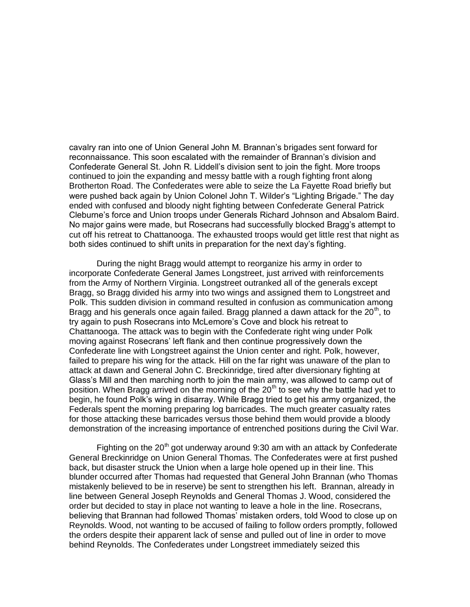cavalry ran into one of Union General John M. Brannan's brigades sent forward for reconnaissance. This soon escalated with the remainder of Brannan's division and Confederate General St. John R. Liddell's division sent to join the fight. More troops continued to join the expanding and messy battle with a rough fighting front along Brotherton Road. The Confederates were able to seize the La Fayette Road briefly but were pushed back again by Union Colonel John T. Wilder's "Lighting Brigade." The day ended with confused and bloody night fighting between Confederate General Patrick Cleburne's force and Union troops under Generals Richard Johnson and Absalom Baird. No major gains were made, but Rosecrans had successfully blocked Bragg's attempt to cut off his retreat to Chattanooga. The exhausted troops would get little rest that night as both sides continued to shift units in preparation for the next day's fighting.

During the night Bragg would attempt to reorganize his army in order to incorporate Confederate General James Longstreet, just arrived with reinforcements from the Army of Northern Virginia. Longstreet outranked all of the generals except Bragg, so Bragg divided his army into two wings and assigned them to Longstreet and Polk. This sudden division in command resulted in confusion as communication among Bragg and his generals once again failed. Bragg planned a dawn attack for the  $20<sup>th</sup>$ , to try again to push Rosecrans into McLemore's Cove and block his retreat to Chattanooga. The attack was to begin with the Confederate right wing under Polk moving against Rosecrans' left flank and then continue progressively down the Confederate line with Longstreet against the Union center and right. Polk, however, failed to prepare his wing for the attack. Hill on the far right was unaware of the plan to attack at dawn and General John C. Breckinridge, tired after diversionary fighting at Glass's Mill and then marching north to join the main army, was allowed to camp out of position. When Bragg arrived on the morning of the  $20<sup>th</sup>$  to see why the battle had yet to begin, he found Polk's wing in disarray. While Bragg tried to get his army organized, the Federals spent the morning preparing log barricades. The much greater casualty rates for those attacking these barricades versus those behind them would provide a bloody demonstration of the increasing importance of entrenched positions during the Civil War.

Fighting on the  $20<sup>th</sup>$  got underway around 9:30 am with an attack by Confederate General Breckinridge on Union General Thomas. The Confederates were at first pushed back, but disaster struck the Union when a large hole opened up in their line. This blunder occurred after Thomas had requested that General John Brannan (who Thomas mistakenly believed to be in reserve) be sent to strengthen his left. Brannan, already in line between General Joseph Reynolds and General Thomas J. Wood, considered the order but decided to stay in place not wanting to leave a hole in the line. Rosecrans, believing that Brannan had followed Thomas' mistaken orders, told Wood to close up on Reynolds. Wood, not wanting to be accused of failing to follow orders promptly, followed the orders despite their apparent lack of sense and pulled out of line in order to move behind Reynolds. The Confederates under Longstreet immediately seized this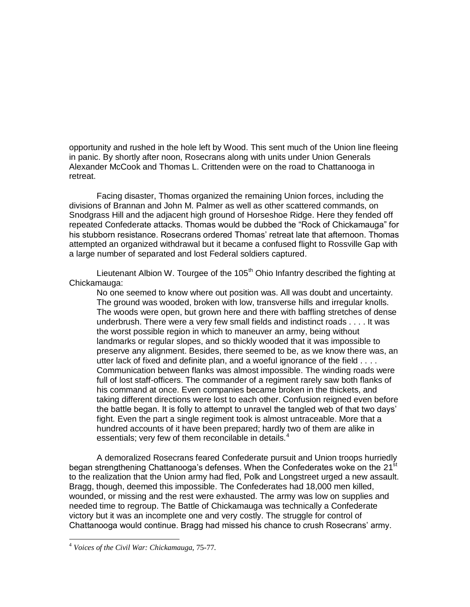opportunity and rushed in the hole left by Wood. This sent much of the Union line fleeing in panic. By shortly after noon, Rosecrans along with units under Union Generals Alexander McCook and Thomas L. Crittenden were on the road to Chattanooga in retreat.

Facing disaster, Thomas organized the remaining Union forces, including the divisions of Brannan and John M. Palmer as well as other scattered commands, on Snodgrass Hill and the adjacent high ground of Horseshoe Ridge. Here they fended off repeated Confederate attacks. Thomas would be dubbed the "Rock of Chickamauga" for his stubborn resistance. Rosecrans ordered Thomas' retreat late that afternoon. Thomas attempted an organized withdrawal but it became a confused flight to Rossville Gap with a large number of separated and lost Federal soldiers captured.

Lieutenant Albion W. Tourgee of the 105<sup>th</sup> Ohio Infantry described the fighting at Chickamauga:

No one seemed to know where out position was. All was doubt and uncertainty. The ground was wooded, broken with low, transverse hills and irregular knolls. The woods were open, but grown here and there with baffling stretches of dense underbrush. There were a very few small fields and indistinct roads . . . . It was the worst possible region in which to maneuver an army, being without landmarks or regular slopes, and so thickly wooded that it was impossible to preserve any alignment. Besides, there seemed to be, as we know there was, an utter lack of fixed and definite plan, and a woeful ignorance of the field . . . . Communication between flanks was almost impossible. The winding roads were full of lost staff-officers. The commander of a regiment rarely saw both flanks of his command at once. Even companies became broken in the thickets, and taking different directions were lost to each other. Confusion reigned even before the battle began. It is folly to attempt to unravel the tangled web of that two days' fight. Even the part a single regiment took is almost untraceable. More that a hundred accounts of it have been prepared; hardly two of them are alike in essentials; very few of them reconcilable in details. $4$ 

A demoralized Rosecrans feared Confederate pursuit and Union troops hurriedly began strengthening Chattanooga's defenses. When the Confederates woke on the 21<sup>st</sup> to the realization that the Union army had fled, Polk and Longstreet urged a new assault. Bragg, though, deemed this impossible. The Confederates had 18,000 men killed, wounded, or missing and the rest were exhausted. The army was low on supplies and needed time to regroup. The Battle of Chickamauga was technically a Confederate victory but it was an incomplete one and very costly. The struggle for control of Chattanooga would continue. Bragg had missed his chance to crush Rosecrans' army.

<sup>4</sup> *Voices of the Civil War: Chickamauga*, 75-77.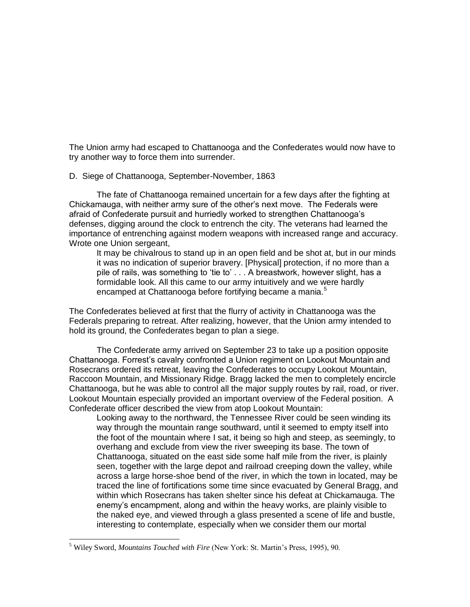The Union army had escaped to Chattanooga and the Confederates would now have to try another way to force them into surrender.

# D. Siege of Chattanooga, September-November, 1863

The fate of Chattanooga remained uncertain for a few days after the fighting at Chickamauga, with neither army sure of the other's next move. The Federals were afraid of Confederate pursuit and hurriedly worked to strengthen Chattanooga's defenses, digging around the clock to entrench the city. The veterans had learned the importance of entrenching against modern weapons with increased range and accuracy. Wrote one Union sergeant,

It may be chivalrous to stand up in an open field and be shot at, but in our minds it was no indication of superior bravery. [Physical] protection, if no more than a pile of rails, was something to 'tie to' . . . A breastwork, however slight, has a formidable look. All this came to our army intuitively and we were hardly encamped at Chattanooga before fortifying became a mania.<sup>5</sup>

The Confederates believed at first that the flurry of activity in Chattanooga was the Federals preparing to retreat. After realizing, however, that the Union army intended to hold its ground, the Confederates began to plan a siege.

The Confederate army arrived on September 23 to take up a position opposite Chattanooga. Forrest's cavalry confronted a Union regiment on Lookout Mountain and Rosecrans ordered its retreat, leaving the Confederates to occupy Lookout Mountain, Raccoon Mountain, and Missionary Ridge. Bragg lacked the men to completely encircle Chattanooga, but he was able to control all the major supply routes by rail, road, or river. Lookout Mountain especially provided an important overview of the Federal position. A Confederate officer described the view from atop Lookout Mountain:

Looking away to the northward, the Tennessee River could be seen winding its way through the mountain range southward, until it seemed to empty itself into the foot of the mountain where I sat, it being so high and steep, as seemingly, to overhang and exclude from view the river sweeping its base. The town of Chattanooga, situated on the east side some half mile from the river, is plainly seen, together with the large depot and railroad creeping down the valley, while across a large horse-shoe bend of the river, in which the town in located, may be traced the line of fortifications some time since evacuated by General Bragg, and within which Rosecrans has taken shelter since his defeat at Chickamauga. The enemy's encampment, along and within the heavy works, are plainly visible to the naked eye, and viewed through a glass presented a scene of life and bustle, interesting to contemplate, especially when we consider them our mortal

<sup>5</sup> Wiley Sword, *Mountains Touched with Fire* (New York: St. Martin"s Press, 1995), 90.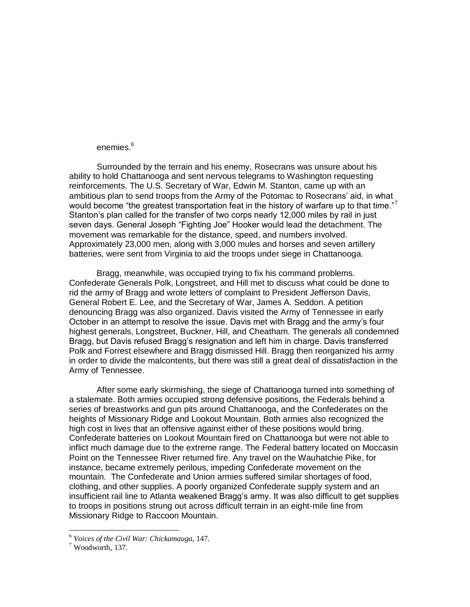# enemies.<sup>6</sup>

Surrounded by the terrain and his enemy, Rosecrans was unsure about his ability to hold Chattanooga and sent nervous telegrams to Washington requesting reinforcements. The U.S. Secretary of War, Edwin M. Stanton, came up with an ambitious plan to send troops from the Army of the Potomac to Rosecrans' aid, in what would become "the greatest transportation feat in the history of warfare up to that time."<sup>7</sup> Stanton's plan called for the transfer of two corps nearly 12,000 miles by rail in just seven days. General Joseph "Fighting Joe" Hooker would lead the detachment. The movement was remarkable for the distance, speed, and numbers involved. Approximately 23,000 men, along with 3,000 mules and horses and seven artillery batteries, were sent from Virginia to aid the troops under siege in Chattanooga.

Bragg, meanwhile, was occupied trying to fix his command problems. Confederate Generals Polk, Longstreet, and Hill met to discuss what could be done to rid the army of Bragg and wrote letters of complaint to President Jefferson Davis, General Robert E. Lee, and the Secretary of War, James A. Seddon. A petition denouncing Bragg was also organized. Davis visited the Army of Tennessee in early October in an attempt to resolve the issue. Davis met with Bragg and the army's four highest generals, Longstreet, Buckner, Hill, and Cheatham. The generals all condemned Bragg, but Davis refused Bragg's resignation and left him in charge. Davis transferred Polk and Forrest elsewhere and Bragg dismissed Hill. Bragg then reorganized his army in order to divide the malcontents, but there was still a great deal of dissatisfaction in the Army of Tennessee.

After some early skirmishing, the siege of Chattanooga turned into something of a stalemate. Both armies occupied strong defensive positions, the Federals behind a series of breastworks and gun pits around Chattanooga, and the Confederates on the heights of Missionary Ridge and Lookout Mountain. Both armies also recognized the high cost in lives that an offensive against either of these positions would bring. Confederate batteries on Lookout Mountain fired on Chattanooga but were not able to inflict much damage due to the extreme range. The Federal battery located on Moccasin Point on the Tennessee River returned fire. Any travel on the Wauhatchie Pike, for instance, became extremely perilous, impeding Confederate movement on the mountain. The Confederate and Union armies suffered similar shortages of food, clothing, and other supplies. A poorly organized Confederate supply system and an insufficient rail line to Atlanta weakened Bragg's army. It was also difficult to get supplies to troops in positions strung out across difficult terrain in an eight-mile line from Missionary Ridge to Raccoon Mountain.

<sup>6</sup> *Voices of the Civil War: Chickamauga*, 147.

 $^7$  Woodworth, 137.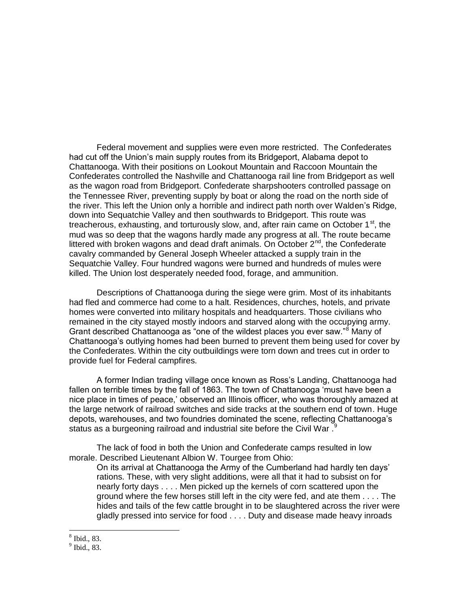Federal movement and supplies were even more restricted. The Confederates had cut off the Union's main supply routes from its Bridgeport, Alabama depot to Chattanooga. With their positions on Lookout Mountain and Raccoon Mountain the Confederates controlled the Nashville and Chattanooga rail line from Bridgeport as well as the wagon road from Bridgeport. Confederate sharpshooters controlled passage on the Tennessee River, preventing supply by boat or along the road on the north side of the river. This left the Union only a horrible and indirect path north over Walden's Ridge, down into Sequatchie Valley and then southwards to Bridgeport. This route was treacherous, exhausting, and torturously slow, and, after rain came on October 1 $^{\rm st}$ , the mud was so deep that the wagons hardly made any progress at all. The route became littered with broken wagons and dead draft animals. On October  $2^{nd}$ , the Confederate cavalry commanded by General Joseph Wheeler attacked a supply train in the Sequatchie Valley. Four hundred wagons were burned and hundreds of mules were killed. The Union lost desperately needed food, forage, and ammunition.

Descriptions of Chattanooga during the siege were grim. Most of its inhabitants had fled and commerce had come to a halt. Residences, churches, hotels, and private homes were converted into military hospitals and headquarters. Those civilians who remained in the city stayed mostly indoors and starved along with the occupying army. Grant described Chattanooga as "one of the wildest places you ever saw."<sup>8</sup> Many of Chattanooga's outlying homes had been burned to prevent them being used for cover by the Confederates. Within the city outbuildings were torn down and trees cut in order to provide fuel for Federal campfires.

A former Indian trading village once known as Ross's Landing, Chattanooga had fallen on terrible times by the fall of 1863. The town of Chattanooga 'must have been a nice place in times of peace,' observed an Illinois officer, who was thoroughly amazed at the large network of railroad switches and side tracks at the southern end of town. Huge depots, warehouses, and two foundries dominated the scene, reflecting Chattanooga's status as a burgeoning railroad and industrial site before the Civil War.<sup>9</sup>

The lack of food in both the Union and Confederate camps resulted in low morale. Described Lieutenant Albion W. Tourgee from Ohio:

On its arrival at Chattanooga the Army of the Cumberland had hardly ten days' rations. These, with very slight additions, were all that it had to subsist on for nearly forty days . . . . Men picked up the kernels of corn scattered upon the ground where the few horses still left in the city were fed, and ate them . . . . The hides and tails of the few cattle brought in to be slaughtered across the river were gladly pressed into service for food . . . . Duty and disease made heavy inroads

 8 Ibid., 83.

<sup>9</sup> Ibid., 83.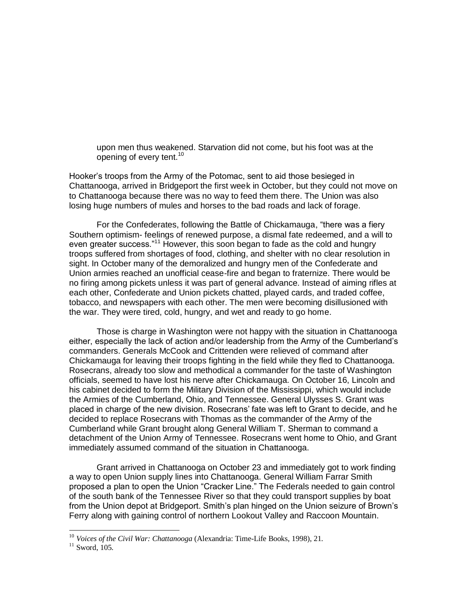upon men thus weakened. Starvation did not come, but his foot was at the opening of every tent.<sup>10</sup>

Hooker's troops from the Army of the Potomac, sent to aid those besieged in Chattanooga, arrived in Bridgeport the first week in October, but they could not move on to Chattanooga because there was no way to feed them there. The Union was also losing huge numbers of mules and horses to the bad roads and lack of forage.

For the Confederates, following the Battle of Chickamauga, "there was a fiery Southern optimism- feelings of renewed purpose, a dismal fate redeemed, and a will to even greater success."<sup>11</sup> However, this soon began to fade as the cold and hungry troops suffered from shortages of food, clothing, and shelter with no clear resolution in sight. In October many of the demoralized and hungry men of the Confederate and Union armies reached an unofficial cease-fire and began to fraternize. There would be no firing among pickets unless it was part of general advance. Instead of aiming rifles at each other, Confederate and Union pickets chatted, played cards, and traded coffee, tobacco, and newspapers with each other. The men were becoming disillusioned with the war. They were tired, cold, hungry, and wet and ready to go home.

Those is charge in Washington were not happy with the situation in Chattanooga either, especially the lack of action and/or leadership from the Army of the Cumberland's commanders. Generals McCook and Crittenden were relieved of command after Chickamauga for leaving their troops fighting in the field while they fled to Chattanooga. Rosecrans, already too slow and methodical a commander for the taste of Washington officials, seemed to have lost his nerve after Chickamauga. On October 16, Lincoln and his cabinet decided to form the Military Division of the Mississippi, which would include the Armies of the Cumberland, Ohio, and Tennessee. General Ulysses S. Grant was placed in charge of the new division. Rosecrans' fate was left to Grant to decide, and he decided to replace Rosecrans with Thomas as the commander of the Army of the Cumberland while Grant brought along General William T. Sherman to command a detachment of the Union Army of Tennessee. Rosecrans went home to Ohio, and Grant immediately assumed command of the situation in Chattanooga.

Grant arrived in Chattanooga on October 23 and immediately got to work finding a way to open Union supply lines into Chattanooga. General William Farrar Smith proposed a plan to open the Union "Cracker Line." The Federals needed to gain control of the south bank of the Tennessee River so that they could transport supplies by boat from the Union depot at Bridgeport. Smith's plan hinged on the Union seizure of Brown's Ferry along with gaining control of northern Lookout Valley and Raccoon Mountain.

<sup>10</sup> *Voices of the Civil War: Chattanooga* (Alexandria: Time-Life Books, 1998), 21.

 $11$  Sword, 105.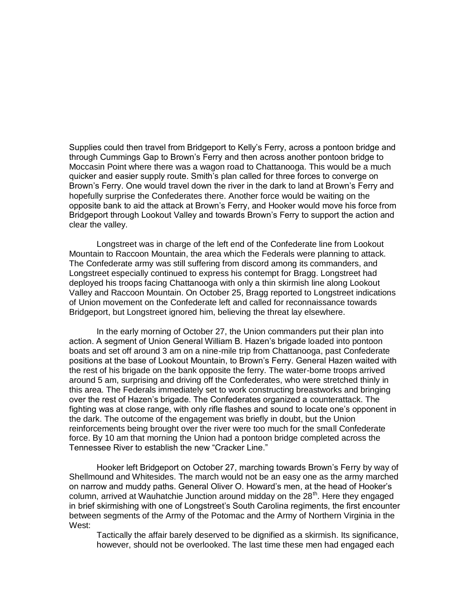Supplies could then travel from Bridgeport to Kelly's Ferry, across a pontoon bridge and through Cummings Gap to Brown's Ferry and then across another pontoon bridge to Moccasin Point where there was a wagon road to Chattanooga. This would be a much quicker and easier supply route. Smith's plan called for three forces to converge on Brown's Ferry. One would travel down the river in the dark to land at Brown's Ferry and hopefully surprise the Confederates there. Another force would be waiting on the opposite bank to aid the attack at Brown's Ferry, and Hooker would move his force from Bridgeport through Lookout Valley and towards Brown's Ferry to support the action and clear the valley.

Longstreet was in charge of the left end of the Confederate line from Lookout Mountain to Raccoon Mountain, the area which the Federals were planning to attack. The Confederate army was still suffering from discord among its commanders, and Longstreet especially continued to express his contempt for Bragg. Longstreet had deployed his troops facing Chattanooga with only a thin skirmish line along Lookout Valley and Raccoon Mountain. On October 25, Bragg reported to Longstreet indications of Union movement on the Confederate left and called for reconnaissance towards Bridgeport, but Longstreet ignored him, believing the threat lay elsewhere.

In the early morning of October 27, the Union commanders put their plan into action. A segment of Union General William B. Hazen's brigade loaded into pontoon boats and set off around 3 am on a nine-mile trip from Chattanooga, past Confederate positions at the base of Lookout Mountain, to Brown's Ferry. General Hazen waited with the rest of his brigade on the bank opposite the ferry. The water-borne troops arrived around 5 am, surprising and driving off the Confederates, who were stretched thinly in this area. The Federals immediately set to work constructing breastworks and bringing over the rest of Hazen's brigade. The Confederates organized a counterattack. The fighting was at close range, with only rifle flashes and sound to locate one's opponent in the dark. The outcome of the engagement was briefly in doubt, but the Union reinforcements being brought over the river were too much for the small Confederate force. By 10 am that morning the Union had a pontoon bridge completed across the Tennessee River to establish the new "Cracker Line."

Hooker left Bridgeport on October 27, marching towards Brown's Ferry by way of Shellmound and Whitesides. The march would not be an easy one as the army marched on narrow and muddy paths. General Oliver O. Howard's men, at the head of Hooker's column, arrived at Wauhatchie Junction around midday on the  $28<sup>th</sup>$ . Here they engaged in brief skirmishing with one of Longstreet's South Carolina regiments, the first encounter between segments of the Army of the Potomac and the Army of Northern Virginia in the West:

Tactically the affair barely deserved to be dignified as a skirmish. Its significance, however, should not be overlooked. The last time these men had engaged each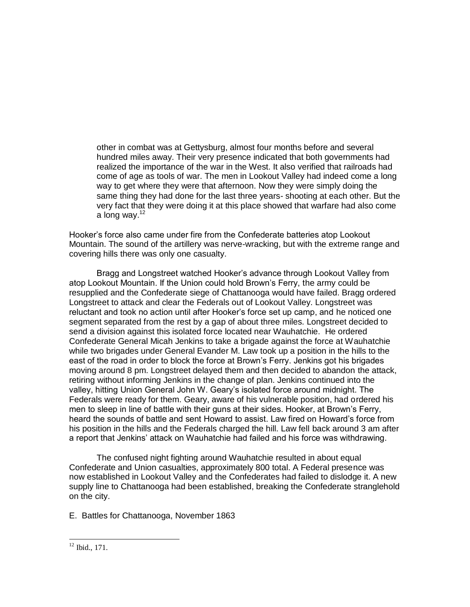other in combat was at Gettysburg, almost four months before and several hundred miles away. Their very presence indicated that both governments had realized the importance of the war in the West. It also verified that railroads had come of age as tools of war. The men in Lookout Valley had indeed come a long way to get where they were that afternoon. Now they were simply doing the same thing they had done for the last three years- shooting at each other. But the very fact that they were doing it at this place showed that warfare had also come a long way. $12$ 

Hooker's force also came under fire from the Confederate batteries atop Lookout Mountain. The sound of the artillery was nerve-wracking, but with the extreme range and covering hills there was only one casualty.

Bragg and Longstreet watched Hooker's advance through Lookout Valley from atop Lookout Mountain. If the Union could hold Brown's Ferry, the army could be resupplied and the Confederate siege of Chattanooga would have failed. Bragg ordered Longstreet to attack and clear the Federals out of Lookout Valley. Longstreet was reluctant and took no action until after Hooker's force set up camp, and he noticed one segment separated from the rest by a gap of about three miles. Longstreet decided to send a division against this isolated force located near Wauhatchie. He ordered Confederate General Micah Jenkins to take a brigade against the force at Wauhatchie while two brigades under General Evander M. Law took up a position in the hills to the east of the road in order to block the force at Brown's Ferry. Jenkins got his brigades moving around 8 pm. Longstreet delayed them and then decided to abandon the attack, retiring without informing Jenkins in the change of plan. Jenkins continued into the valley, hitting Union General John W. Geary's isolated force around midnight. The Federals were ready for them. Geary, aware of his vulnerable position, had ordered his men to sleep in line of battle with their guns at their sides. Hooker, at Brown's Ferry, heard the sounds of battle and sent Howard to assist. Law fired on Howard's force from his position in the hills and the Federals charged the hill. Law fell back around 3 am after a report that Jenkins' attack on Wauhatchie had failed and his force was withdrawing.

The confused night fighting around Wauhatchie resulted in about equal Confederate and Union casualties, approximately 800 total. A Federal presence was now established in Lookout Valley and the Confederates had failed to dislodge it. A new supply line to Chattanooga had been established, breaking the Confederate stranglehold on the city.

E. Battles for Chattanooga, November 1863

 $12$  Ibid., 171.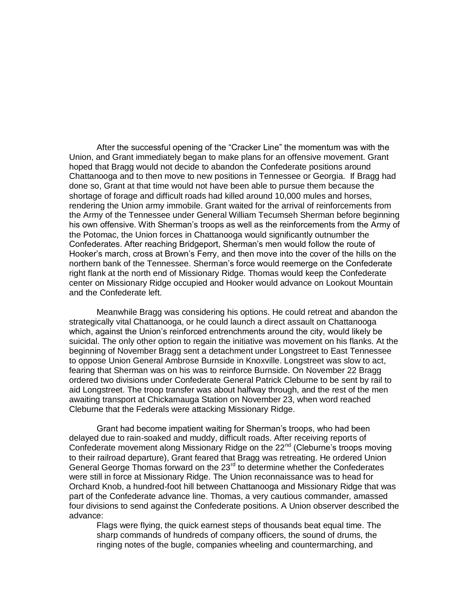After the successful opening of the "Cracker Line" the momentum was with the Union, and Grant immediately began to make plans for an offensive movement. Grant hoped that Bragg would not decide to abandon the Confederate positions around Chattanooga and to then move to new positions in Tennessee or Georgia. If Bragg had done so, Grant at that time would not have been able to pursue them because the shortage of forage and difficult roads had killed around 10,000 mules and horses, rendering the Union army immobile. Grant waited for the arrival of reinforcements from the Army of the Tennessee under General William Tecumseh Sherman before beginning his own offensive. With Sherman's troops as well as the reinforcements from the Army of the Potomac, the Union forces in Chattanooga would significantly outnumber the Confederates. After reaching Bridgeport, Sherman's men would follow the route of Hooker's march, cross at Brown's Ferry, and then move into the cover of the hills on the northern bank of the Tennessee. Sherman's force would reemerge on the Confederate right flank at the north end of Missionary Ridge. Thomas would keep the Confederate center on Missionary Ridge occupied and Hooker would advance on Lookout Mountain and the Confederate left.

Meanwhile Bragg was considering his options. He could retreat and abandon the strategically vital Chattanooga, or he could launch a direct assault on Chattanooga which, against the Union's reinforced entrenchments around the city, would likely be suicidal. The only other option to regain the initiative was movement on his flanks. At the beginning of November Bragg sent a detachment under Longstreet to East Tennessee to oppose Union General Ambrose Burnside in Knoxville. Longstreet was slow to act, fearing that Sherman was on his was to reinforce Burnside. On November 22 Bragg ordered two divisions under Confederate General Patrick Cleburne to be sent by rail to aid Longstreet. The troop transfer was about halfway through, and the rest of the men awaiting transport at Chickamauga Station on November 23, when word reached Cleburne that the Federals were attacking Missionary Ridge.

Grant had become impatient waiting for Sherman's troops, who had been delayed due to rain-soaked and muddy, difficult roads. After receiving reports of Confederate movement along Missionary Ridge on the 22<sup>nd</sup> (Cleburne's troops moving to their railroad departure), Grant feared that Bragg was retreating. He ordered Union General George Thomas forward on the  $23<sup>rd</sup>$  to determine whether the Confederates were still in force at Missionary Ridge. The Union reconnaissance was to head for Orchard Knob, a hundred-foot hill between Chattanooga and Missionary Ridge that was part of the Confederate advance line. Thomas, a very cautious commander, amassed four divisions to send against the Confederate positions. A Union observer described the advance:

Flags were flying, the quick earnest steps of thousands beat equal time. The sharp commands of hundreds of company officers, the sound of drums, the ringing notes of the bugle, companies wheeling and countermarching, and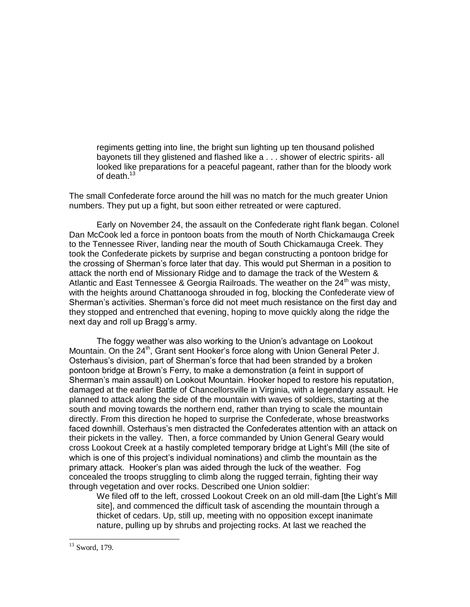regiments getting into line, the bright sun lighting up ten thousand polished bayonets till they glistened and flashed like a . . . shower of electric spirits- all looked like preparations for a peaceful pageant, rather than for the bloody work of death.<sup>13</sup>

The small Confederate force around the hill was no match for the much greater Union numbers. They put up a fight, but soon either retreated or were captured.

Early on November 24, the assault on the Confederate right flank began. Colonel Dan McCook led a force in pontoon boats from the mouth of North Chickamauga Creek to the Tennessee River, landing near the mouth of South Chickamauga Creek. They took the Confederate pickets by surprise and began constructing a pontoon bridge for the crossing of Sherman's force later that day. This would put Sherman in a position to attack the north end of Missionary Ridge and to damage the track of the Western & Atlantic and East Tennessee & Georgia Railroads. The weather on the  $24<sup>th</sup>$  was misty, with the heights around Chattanooga shrouded in fog, blocking the Confederate view of Sherman's activities. Sherman's force did not meet much resistance on the first day and they stopped and entrenched that evening, hoping to move quickly along the ridge the next day and roll up Bragg's army.

The foggy weather was also working to the Union's advantage on Lookout Mountain. On the  $24<sup>th</sup>$ , Grant sent Hooker's force along with Union General Peter J. Osterhaus's division, part of Sherman's force that had been stranded by a broken pontoon bridge at Brown's Ferry, to make a demonstration (a feint in support of Sherman's main assault) on Lookout Mountain. Hooker hoped to restore his reputation, damaged at the earlier Battle of Chancellorsville in Virginia, with a legendary assault. He planned to attack along the side of the mountain with waves of soldiers, starting at the south and moving towards the northern end, rather than trying to scale the mountain directly. From this direction he hoped to surprise the Confederate, whose breastworks faced downhill. Osterhaus's men distracted the Confederates attention with an attack on their pickets in the valley. Then, a force commanded by Union General Geary would cross Lookout Creek at a hastily completed temporary bridge at Light's Mill (the site of which is one of this project's individual nominations) and climb the mountain as the primary attack. Hooker's plan was aided through the luck of the weather. Fog concealed the troops struggling to climb along the rugged terrain, fighting their way through vegetation and over rocks. Described one Union soldier:

We filed off to the left, crossed Lookout Creek on an old mill-dam [the Light's Mill site], and commenced the difficult task of ascending the mountain through a thicket of cedars. Up, still up, meeting with no opposition except inanimate nature, pulling up by shrubs and projecting rocks. At last we reached the

 $13$  Sword, 179.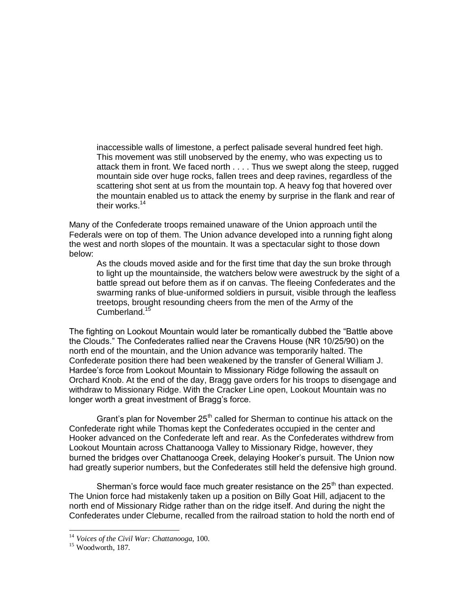inaccessible walls of limestone, a perfect palisade several hundred feet high. This movement was still unobserved by the enemy, who was expecting us to attack them in front. We faced north . . . . Thus we swept along the steep, rugged mountain side over huge rocks, fallen trees and deep ravines, regardless of the scattering shot sent at us from the mountain top. A heavy fog that hovered over the mountain enabled us to attack the enemy by surprise in the flank and rear of their works.<sup>14</sup>

Many of the Confederate troops remained unaware of the Union approach until the Federals were on top of them. The Union advance developed into a running fight along the west and north slopes of the mountain. It was a spectacular sight to those down below:

As the clouds moved aside and for the first time that day the sun broke through to light up the mountainside, the watchers below were awestruck by the sight of a battle spread out before them as if on canvas. The fleeing Confederates and the swarming ranks of blue-uniformed soldiers in pursuit, visible through the leafless treetops, brought resounding cheers from the men of the Army of the Cumberland.<sup>15</sup>

The fighting on Lookout Mountain would later be romantically dubbed the "Battle above" the Clouds.‖ The Confederates rallied near the Cravens House (NR 10/25/90) on the north end of the mountain, and the Union advance was temporarily halted. The Confederate position there had been weakened by the transfer of General William J. Hardee's force from Lookout Mountain to Missionary Ridge following the assault on Orchard Knob. At the end of the day, Bragg gave orders for his troops to disengage and withdraw to Missionary Ridge. With the Cracker Line open, Lookout Mountain was no longer worth a great investment of Bragg's force.

Grant's plan for November  $25<sup>th</sup>$  called for Sherman to continue his attack on the Confederate right while Thomas kept the Confederates occupied in the center and Hooker advanced on the Confederate left and rear. As the Confederates withdrew from Lookout Mountain across Chattanooga Valley to Missionary Ridge, however, they burned the bridges over Chattanooga Creek, delaying Hooker's pursuit. The Union now had greatly superior numbers, but the Confederates still held the defensive high ground.

Sherman's force would face much greater resistance on the  $25<sup>th</sup>$  than expected. The Union force had mistakenly taken up a position on Billy Goat Hill, adjacent to the north end of Missionary Ridge rather than on the ridge itself. And during the night the Confederates under Cleburne, recalled from the railroad station to hold the north end of

<sup>14</sup> *Voices of the Civil War: Chattanooga*, 100.

<sup>&</sup>lt;sup>15</sup> Woodworth, 187.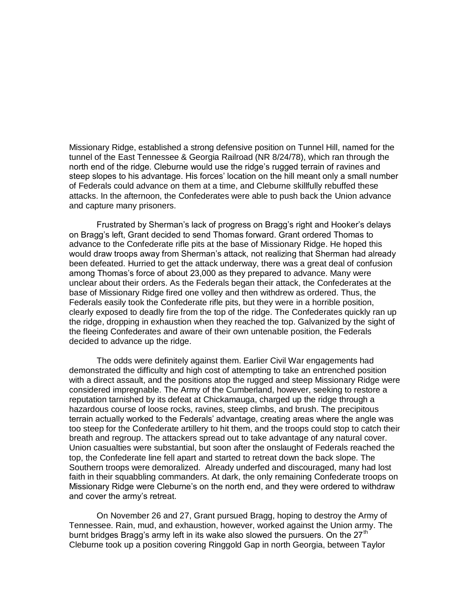Missionary Ridge, established a strong defensive position on Tunnel Hill, named for the tunnel of the East Tennessee & Georgia Railroad (NR 8/24/78), which ran through the north end of the ridge. Cleburne would use the ridge's rugged terrain of ravines and steep slopes to his advantage. His forces' location on the hill meant only a small number of Federals could advance on them at a time, and Cleburne skillfully rebuffed these attacks. In the afternoon, the Confederates were able to push back the Union advance and capture many prisoners.

Frustrated by Sherman's lack of progress on Bragg's right and Hooker's delays on Bragg's left, Grant decided to send Thomas forward. Grant ordered Thomas to advance to the Confederate rifle pits at the base of Missionary Ridge. He hoped this would draw troops away from Sherman's attack, not realizing that Sherman had already been defeated. Hurried to get the attack underway, there was a great deal of confusion among Thomas's force of about 23,000 as they prepared to advance. Many were unclear about their orders. As the Federals began their attack, the Confederates at the base of Missionary Ridge fired one volley and then withdrew as ordered. Thus, the Federals easily took the Confederate rifle pits, but they were in a horrible position, clearly exposed to deadly fire from the top of the ridge. The Confederates quickly ran up the ridge, dropping in exhaustion when they reached the top. Galvanized by the sight of the fleeing Confederates and aware of their own untenable position, the Federals decided to advance up the ridge.

The odds were definitely against them. Earlier Civil War engagements had demonstrated the difficulty and high cost of attempting to take an entrenched position with a direct assault, and the positions atop the rugged and steep Missionary Ridge were considered impregnable. The Army of the Cumberland, however, seeking to restore a reputation tarnished by its defeat at Chickamauga, charged up the ridge through a hazardous course of loose rocks, ravines, steep climbs, and brush. The precipitous terrain actually worked to the Federals' advantage, creating areas where the angle was too steep for the Confederate artillery to hit them, and the troops could stop to catch their breath and regroup. The attackers spread out to take advantage of any natural cover. Union casualties were substantial, but soon after the onslaught of Federals reached the top, the Confederate line fell apart and started to retreat down the back slope. The Southern troops were demoralized. Already underfed and discouraged, many had lost faith in their squabbling commanders. At dark, the only remaining Confederate troops on Missionary Ridge were Cleburne's on the north end, and they were ordered to withdraw and cover the army's retreat.

On November 26 and 27, Grant pursued Bragg, hoping to destroy the Army of Tennessee. Rain, mud, and exhaustion, however, worked against the Union army. The burnt bridges Bragg's army left in its wake also slowed the pursuers. On the  $27<sup>th</sup>$ Cleburne took up a position covering Ringgold Gap in north Georgia, between Taylor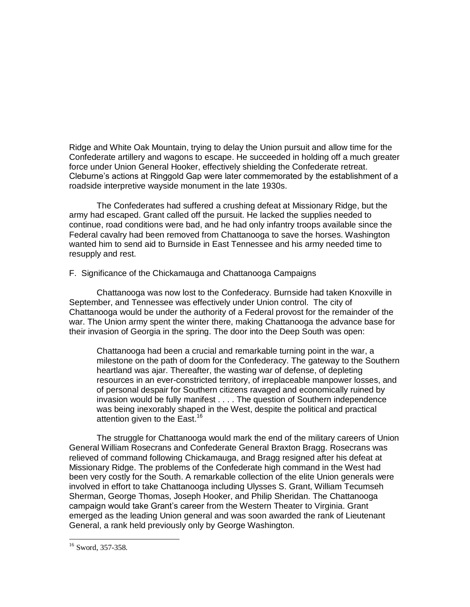Ridge and White Oak Mountain, trying to delay the Union pursuit and allow time for the Confederate artillery and wagons to escape. He succeeded in holding off a much greater force under Union General Hooker, effectively shielding the Confederate retreat. Cleburne's actions at Ringgold Gap were later commemorated by the establishment of a roadside interpretive wayside monument in the late 1930s.

The Confederates had suffered a crushing defeat at Missionary Ridge, but the army had escaped. Grant called off the pursuit. He lacked the supplies needed to continue, road conditions were bad, and he had only infantry troops available since the Federal cavalry had been removed from Chattanooga to save the horses. Washington wanted him to send aid to Burnside in East Tennessee and his army needed time to resupply and rest.

# F. Significance of the Chickamauga and Chattanooga Campaigns

Chattanooga was now lost to the Confederacy. Burnside had taken Knoxville in September, and Tennessee was effectively under Union control. The city of Chattanooga would be under the authority of a Federal provost for the remainder of the war. The Union army spent the winter there, making Chattanooga the advance base for their invasion of Georgia in the spring. The door into the Deep South was open:

Chattanooga had been a crucial and remarkable turning point in the war, a milestone on the path of doom for the Confederacy. The gateway to the Southern heartland was ajar. Thereafter, the wasting war of defense, of depleting resources in an ever-constricted territory, of irreplaceable manpower losses, and of personal despair for Southern citizens ravaged and economically ruined by invasion would be fully manifest . . . . The question of Southern independence was being inexorably shaped in the West, despite the political and practical attention given to the East.<sup>16</sup>

The struggle for Chattanooga would mark the end of the military careers of Union General William Rosecrans and Confederate General Braxton Bragg. Rosecrans was relieved of command following Chickamauga, and Bragg resigned after his defeat at Missionary Ridge. The problems of the Confederate high command in the West had been very costly for the South. A remarkable collection of the elite Union generals were involved in effort to take Chattanooga including Ulysses S. Grant, William Tecumseh Sherman, George Thomas, Joseph Hooker, and Philip Sheridan. The Chattanooga campaign would take Grant's career from the Western Theater to Virginia. Grant emerged as the leading Union general and was soon awarded the rank of Lieutenant General, a rank held previously only by George Washington.

<sup>&</sup>lt;sup>16</sup> Sword, 357-358.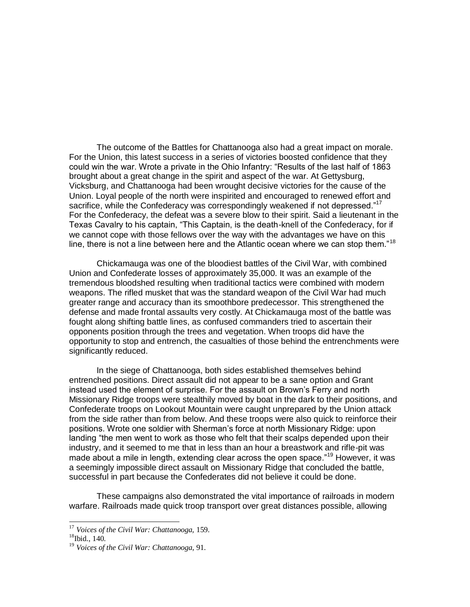The outcome of the Battles for Chattanooga also had a great impact on morale. For the Union, this latest success in a series of victories boosted confidence that they could win the war. Wrote a private in the Ohio Infantry: "Results of the last half of 1863 brought about a great change in the spirit and aspect of the war. At Gettysburg, Vicksburg, and Chattanooga had been wrought decisive victories for the cause of the Union. Loyal people of the north were inspirited and encouraged to renewed effort and sacrifice, while the Confederacy was correspondingly weakened if not depressed. $177$ For the Confederacy, the defeat was a severe blow to their spirit. Said a lieutenant in the Texas Cavalry to his captain, "This Captain, is the death-knell of the Confederacy, for if we cannot cope with those fellows over the way with the advantages we have on this line, there is not a line between here and the Atlantic ocean where we can stop them."<sup>18</sup>

Chickamauga was one of the bloodiest battles of the Civil War, with combined Union and Confederate losses of approximately 35,000. It was an example of the tremendous bloodshed resulting when traditional tactics were combined with modern weapons. The rifled musket that was the standard weapon of the Civil War had much greater range and accuracy than its smoothbore predecessor. This strengthened the defense and made frontal assaults very costly. At Chickamauga most of the battle was fought along shifting battle lines, as confused commanders tried to ascertain their opponents position through the trees and vegetation. When troops did have the opportunity to stop and entrench, the casualties of those behind the entrenchments were significantly reduced.

In the siege of Chattanooga, both sides established themselves behind entrenched positions. Direct assault did not appear to be a sane option and Grant instead used the element of surprise. For the assault on Brown's Ferry and north Missionary Ridge troops were stealthily moved by boat in the dark to their positions, and Confederate troops on Lookout Mountain were caught unprepared by the Union attack from the side rather than from below. And these troops were also quick to reinforce their positions. Wrote one soldier with Sherman's force at north Missionary Ridge: upon landing "the men went to work as those who felt that their scalps depended upon their industry, and it seemed to me that in less than an hour a breastwork and rifle-pit was made about a mile in length, extending clear across the open space."<sup>19</sup> However, it was a seemingly impossible direct assault on Missionary Ridge that concluded the battle, successful in part because the Confederates did not believe it could be done.

These campaigns also demonstrated the vital importance of railroads in modern warfare. Railroads made quick troop transport over great distances possible, allowing

<sup>17</sup> *Voices of the Civil War: Chattanooga,* 159.

 $18$ Ibid.,  $140$ .

<sup>19</sup> *Voices of the Civil War: Chattanooga*, 91.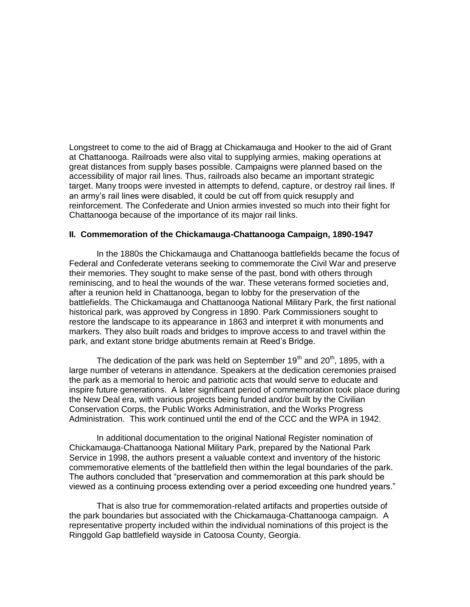Longstreet to come to the aid of Bragg at Chickamauga and Hooker to the aid of Grant at Chattanooga. Railroads were also vital to supplying armies, making operations at great distances from supply bases possible. Campaigns were planned based on the accessibility of major rail lines. Thus, railroads also became an important strategic target. Many troops were invested in attempts to defend, capture, or destroy rail lines. If an army's rail lines were disabled, it could be cut off from quick resupply and reinforcement. The Confederate and Union armies invested so much into their fight for Chattanooga because of the importance of its major rail links.

### **II. Commemoration of the Chickamauga-Chattanooga Campaign, 1890-1947**

In the 1880s the Chickamauga and Chattanooga battlefields became the focus of Federal and Confederate veterans seeking to commemorate the Civil War and preserve their memories. They sought to make sense of the past, bond with others through reminiscing, and to heal the wounds of the war. These veterans formed societies and, after a reunion held in Chattanooga, began to lobby for the preservation of the battlefields. The Chickamauga and Chattanooga National Military Park, the first national historical park, was approved by Congress in 1890. Park Commissioners sought to restore the landscape to its appearance in 1863 and interpret it with monuments and markers. They also built roads and bridges to improve access to and travel within the park, and extant stone bridge abutments remain at Reed's Bridge.

The dedication of the park was held on September 19<sup>th</sup> and 20<sup>th</sup>, 1895, with a large number of veterans in attendance. Speakers at the dedication ceremonies praised the park as a memorial to heroic and patriotic acts that would serve to educate and inspire future generations. A later significant period of commemoration took place during the New Deal era, with various projects being funded and/or built by the Civilian Conservation Corps, the Public Works Administration, and the Works Progress Administration. This work continued until the end of the CCC and the WPA in 1942.

In additional documentation to the original National Register nomination of Chickamauga-Chattanooga National Military Park, prepared by the National Park Service in 1998, the authors present a valuable context and inventory of the historic commemorative elements of the battlefield then within the legal boundaries of the park. The authors concluded that "preservation and commemoration at this park should be viewed as a continuing process extending over a period exceeding one hundred years."

That is also true for commemoration-related artifacts and properties outside of the park boundaries but associated with the Chickamauga-Chattanooga campaign. A representative property included within the individual nominations of this project is the Ringgold Gap battlefield wayside in Catoosa County, Georgia.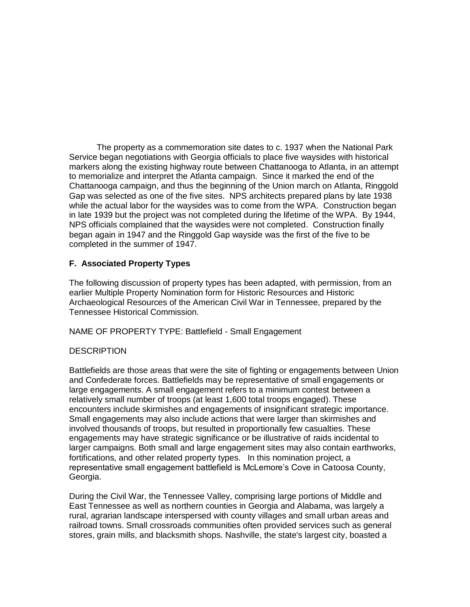The property as a commemoration site dates to c. 1937 when the National Park Service began negotiations with Georgia officials to place five waysides with historical markers along the existing highway route between Chattanooga to Atlanta, in an attempt to memorialize and interpret the Atlanta campaign. Since it marked the end of the Chattanooga campaign, and thus the beginning of the Union march on Atlanta, Ringgold Gap was selected as one of the five sites. NPS architects prepared plans by late 1938 while the actual labor for the waysides was to come from the WPA. Construction began in late 1939 but the project was not completed during the lifetime of the WPA. By 1944, NPS officials complained that the waysides were not completed. Construction finally began again in 1947 and the Ringgold Gap wayside was the first of the five to be completed in the summer of 1947.

# **F. Associated Property Types**

The following discussion of property types has been adapted, with permission, from an earlier Multiple Property Nomination form for Historic Resources and Historic Archaeological Resources of the American Civil War in Tennessee, prepared by the Tennessee Historical Commission.

NAME OF PROPERTY TYPE: Battlefield - Small Engagement

### **DESCRIPTION**

Battlefields are those areas that were the site of fighting or engagements between Union and Confederate forces. Battlefields may be representative of small engagements or large engagements. A small engagement refers to a minimum contest between a relatively small number of troops (at least 1,600 total troops engaged). These encounters include skirmishes and engagements of insignificant strategic importance. Small engagements may also include actions that were larger than skirmishes and involved thousands of troops, but resulted in proportionally few casualties. These engagements may have strategic significance or be illustrative of raids incidental to larger campaigns. Both small and large engagement sites may also contain earthworks, fortifications, and other related property types. In this nomination project, a representative small engagement battlefield is McLemore's Cove in Catoosa County, Georgia.

During the Civil War, the Tennessee Valley, comprising large portions of Middle and East Tennessee as well as northern counties in Georgia and Alabama, was largely a rural, agrarian landscape interspersed with county villages and small urban areas and railroad towns. Small crossroads communities often provided services such as general stores, grain mills, and blacksmith shops. Nashville, the state's largest city, boasted a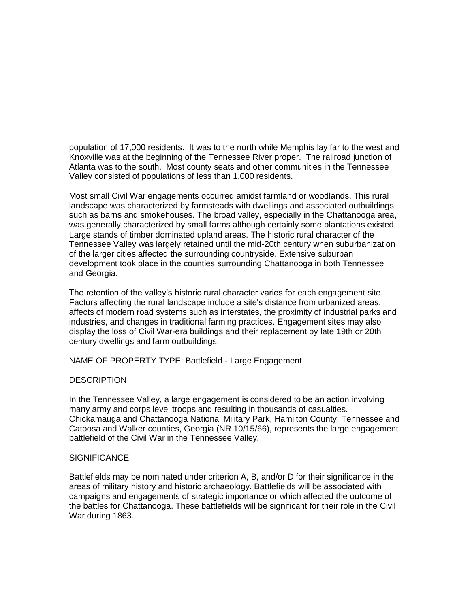population of 17,000 residents. It was to the north while Memphis lay far to the west and Knoxville was at the beginning of the Tennessee River proper. The railroad junction of Atlanta was to the south. Most county seats and other communities in the Tennessee Valley consisted of populations of less than 1,000 residents.

Most small Civil War engagements occurred amidst farmland or woodlands. This rural landscape was characterized by farmsteads with dwellings and associated outbuildings such as barns and smokehouses. The broad valley, especially in the Chattanooga area, was generally characterized by small farms although certainly some plantations existed. Large stands of timber dominated upland areas. The historic rural character of the Tennessee Valley was largely retained until the mid-20th century when suburbanization of the larger cities affected the surrounding countryside. Extensive suburban development took place in the counties surrounding Chattanooga in both Tennessee and Georgia.

The retention of the valley's historic rural character varies for each engagement site. Factors affecting the rural landscape include a site's distance from urbanized areas, affects of modern road systems such as interstates, the proximity of industrial parks and industries, and changes in traditional farming practices. Engagement sites may also display the loss of Civil War-era buildings and their replacement by late 19th or 20th century dwellings and farm outbuildings.

NAME OF PROPERTY TYPE: Battlefield - Large Engagement

# **DESCRIPTION**

In the Tennessee Valley, a large engagement is considered to be an action involving many army and corps level troops and resulting in thousands of casualties. Chickamauga and Chattanooga National Military Park, Hamilton County, Tennessee and Catoosa and Walker counties, Georgia (NR 10/15/66), represents the large engagement battlefield of the Civil War in the Tennessee Valley.

### **SIGNIFICANCE**

Battlefields may be nominated under criterion A, B, and/or D for their significance in the areas of military history and historic archaeology. Battlefields will be associated with campaigns and engagements of strategic importance or which affected the outcome of the battles for Chattanooga. These battlefields will be significant for their role in the Civil War during 1863.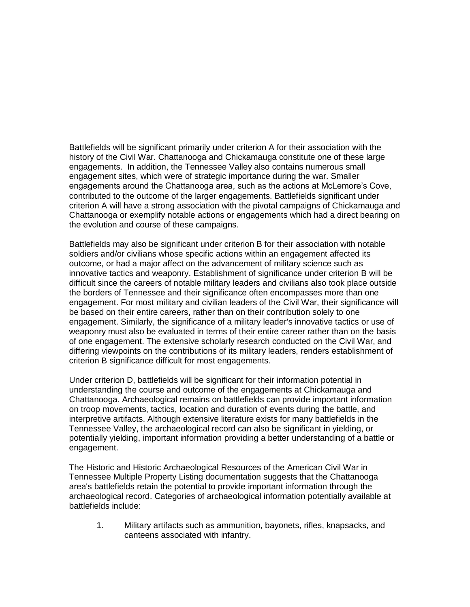Battlefields will be significant primarily under criterion A for their association with the history of the Civil War. Chattanooga and Chickamauga constitute one of these large engagements. In addition, the Tennessee Valley also contains numerous small engagement sites, which were of strategic importance during the war. Smaller engagements around the Chattanooga area, such as the actions at McLemore's Cove, contributed to the outcome of the larger engagements. Battlefields significant under criterion A will have a strong association with the pivotal campaigns of Chickamauga and Chattanooga or exemplify notable actions or engagements which had a direct bearing on the evolution and course of these campaigns.

Battlefields may also be significant under criterion B for their association with notable soldiers and/or civilians whose specific actions within an engagement affected its outcome, or had a major affect on the advancement of military science such as innovative tactics and weaponry. Establishment of significance under criterion B will be difficult since the careers of notable military leaders and civilians also took place outside the borders of Tennessee and their significance often encompasses more than one engagement. For most military and civilian leaders of the Civil War, their significance will be based on their entire careers, rather than on their contribution solely to one engagement. Similarly, the significance of a military leader's innovative tactics or use of weaponry must also be evaluated in terms of their entire career rather than on the basis of one engagement. The extensive scholarly research conducted on the Civil War, and differing viewpoints on the contributions of its military leaders, renders establishment of criterion B significance difficult for most engagements.

Under criterion D, battlefields will be significant for their information potential in understanding the course and outcome of the engagements at Chickamauga and Chattanooga. Archaeological remains on battlefields can provide important information on troop movements, tactics, location and duration of events during the battle, and interpretive artifacts. Although extensive literature exists for many battlefields in the Tennessee Valley, the archaeological record can also be significant in yielding, or potentially yielding, important information providing a better understanding of a battle or engagement.

The Historic and Historic Archaeological Resources of the American Civil War in Tennessee Multiple Property Listing documentation suggests that the Chattanooga area's battlefields retain the potential to provide important information through the archaeological record. Categories of archaeological information potentially available at battlefields include:

1. Military artifacts such as ammunition, bayonets, rifles, knapsacks, and canteens associated with infantry.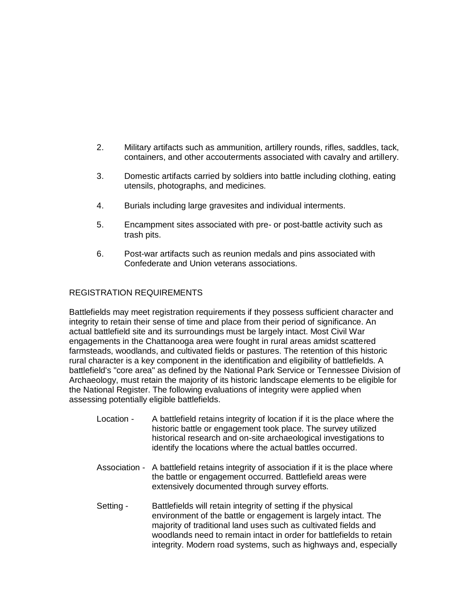- 2. Military artifacts such as ammunition, artillery rounds, rifles, saddles, tack, containers, and other accouterments associated with cavalry and artillery.
- 3. Domestic artifacts carried by soldiers into battle including clothing, eating utensils, photographs, and medicines.
- 4. Burials including large gravesites and individual interments.
- 5. Encampment sites associated with pre- or post-battle activity such as trash pits.
- 6. Post-war artifacts such as reunion medals and pins associated with Confederate and Union veterans associations.

# REGISTRATION REQUIREMENTS

Battlefields may meet registration requirements if they possess sufficient character and integrity to retain their sense of time and place from their period of significance. An actual battlefield site and its surroundings must be largely intact. Most Civil War engagements in the Chattanooga area were fought in rural areas amidst scattered farmsteads, woodlands, and cultivated fields or pastures. The retention of this historic rural character is a key component in the identification and eligibility of battlefields. A battlefield's "core area" as defined by the National Park Service or Tennessee Division of Archaeology, must retain the majority of its historic landscape elements to be eligible for the National Register. The following evaluations of integrity were applied when assessing potentially eligible battlefields.

- Location A battlefield retains integrity of location if it is the place where the historic battle or engagement took place. The survey utilized historical research and on-site archaeological investigations to identify the locations where the actual battles occurred.
- Association A battlefield retains integrity of association if it is the place where the battle or engagement occurred. Battlefield areas were extensively documented through survey efforts.
- Setting Battlefields will retain integrity of setting if the physical environment of the battle or engagement is largely intact. The majority of traditional land uses such as cultivated fields and woodlands need to remain intact in order for battlefields to retain integrity. Modern road systems, such as highways and, especially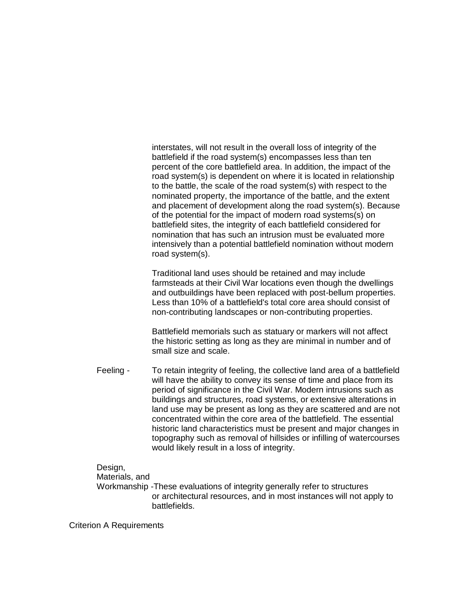interstates, will not result in the overall loss of integrity of the battlefield if the road system(s) encompasses less than ten percent of the core battlefield area. In addition, the impact of the road system(s) is dependent on where it is located in relationship to the battle, the scale of the road system(s) with respect to the nominated property, the importance of the battle, and the extent and placement of development along the road system(s). Because of the potential for the impact of modern road systems(s) on battlefield sites, the integrity of each battlefield considered for nomination that has such an intrusion must be evaluated more intensively than a potential battlefield nomination without modern road system(s).

Traditional land uses should be retained and may include farmsteads at their Civil War locations even though the dwellings and outbuildings have been replaced with post-bellum properties. Less than 10% of a battlefield's total core area should consist of non-contributing landscapes or non-contributing properties.

Battlefield memorials such as statuary or markers will not affect the historic setting as long as they are minimal in number and of small size and scale.

Feeling - To retain integrity of feeling, the collective land area of a battlefield will have the ability to convey its sense of time and place from its period of significance in the Civil War. Modern intrusions such as buildings and structures, road systems, or extensive alterations in land use may be present as long as they are scattered and are not concentrated within the core area of the battlefield. The essential historic land characteristics must be present and major changes in topography such as removal of hillsides or infilling of watercourses would likely result in a loss of integrity.

### Design,

### Materials, and

Workmanship -These evaluations of integrity generally refer to structures or architectural resources, and in most instances will not apply to battlefields.

Criterion A Requirements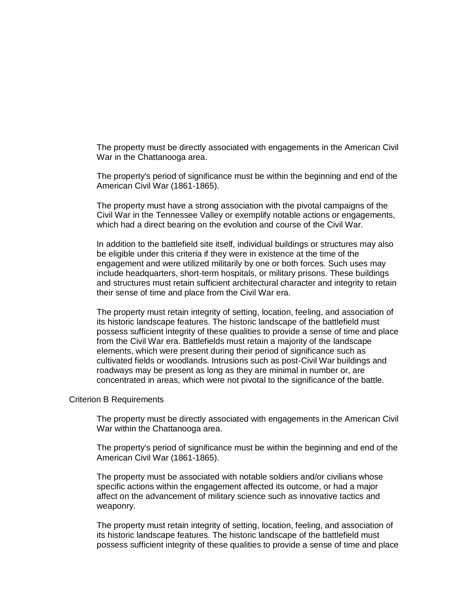The property must be directly associated with engagements in the American Civil War in the Chattanooga area.

The property's period of significance must be within the beginning and end of the American Civil War (1861-1865).

The property must have a strong association with the pivotal campaigns of the Civil War in the Tennessee Valley or exemplify notable actions or engagements, which had a direct bearing on the evolution and course of the Civil War.

In addition to the battlefield site itself, individual buildings or structures may also be eligible under this criteria if they were in existence at the time of the engagement and were utilized militarily by one or both forces. Such uses may include headquarters, short-term hospitals, or military prisons. These buildings and structures must retain sufficient architectural character and integrity to retain their sense of time and place from the Civil War era.

The property must retain integrity of setting, location, feeling, and association of its historic landscape features. The historic landscape of the battlefield must possess sufficient integrity of these qualities to provide a sense of time and place from the Civil War era. Battlefields must retain a majority of the landscape elements, which were present during their period of significance such as cultivated fields or woodlands. Intrusions such as post-Civil War buildings and roadways may be present as long as they are minimal in number or, are concentrated in areas, which were not pivotal to the significance of the battle.

#### Criterion B Requirements

The property must be directly associated with engagements in the American Civil War within the Chattanooga area.

The property's period of significance must be within the beginning and end of the American Civil War (1861-1865).

The property must be associated with notable soldiers and/or civilians whose specific actions within the engagement affected its outcome, or had a major affect on the advancement of military science such as innovative tactics and weaponry.

The property must retain integrity of setting, location, feeling, and association of its historic landscape features. The historic landscape of the battlefield must possess sufficient integrity of these qualities to provide a sense of time and place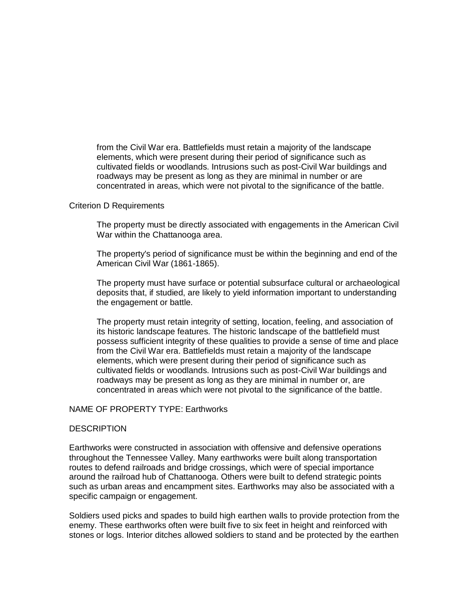from the Civil War era. Battlefields must retain a majority of the landscape elements, which were present during their period of significance such as cultivated fields or woodlands. Intrusions such as post-Civil War buildings and roadways may be present as long as they are minimal in number or are concentrated in areas, which were not pivotal to the significance of the battle.

### Criterion D Requirements

The property must be directly associated with engagements in the American Civil War within the Chattanooga area.

The property's period of significance must be within the beginning and end of the American Civil War (1861-1865).

The property must have surface or potential subsurface cultural or archaeological deposits that, if studied, are likely to yield information important to understanding the engagement or battle.

The property must retain integrity of setting, location, feeling, and association of its historic landscape features. The historic landscape of the battlefield must possess sufficient integrity of these qualities to provide a sense of time and place from the Civil War era. Battlefields must retain a majority of the landscape elements, which were present during their period of significance such as cultivated fields or woodlands. Intrusions such as post-Civil War buildings and roadways may be present as long as they are minimal in number or, are concentrated in areas which were not pivotal to the significance of the battle.

### NAME OF PROPERTY TYPE: Earthworks

#### **DESCRIPTION**

Earthworks were constructed in association with offensive and defensive operations throughout the Tennessee Valley. Many earthworks were built along transportation routes to defend railroads and bridge crossings, which were of special importance around the railroad hub of Chattanooga. Others were built to defend strategic points such as urban areas and encampment sites. Earthworks may also be associated with a specific campaign or engagement.

Soldiers used picks and spades to build high earthen walls to provide protection from the enemy. These earthworks often were built five to six feet in height and reinforced with stones or logs. Interior ditches allowed soldiers to stand and be protected by the earthen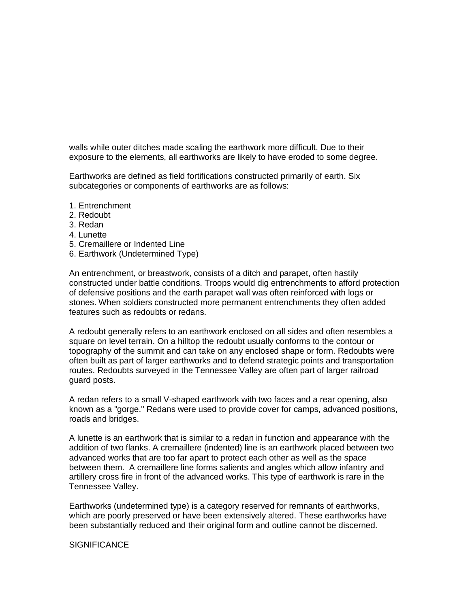walls while outer ditches made scaling the earthwork more difficult. Due to their exposure to the elements, all earthworks are likely to have eroded to some degree.

Earthworks are defined as field fortifications constructed primarily of earth. Six subcategories or components of earthworks are as follows:

- 1. Entrenchment
- 2. Redoubt
- 3. Redan
- 4. Lunette
- 5. Cremaillere or Indented Line
- 6. Earthwork (Undetermined Type)

An entrenchment, or breastwork, consists of a ditch and parapet, often hastily constructed under battle conditions. Troops would dig entrenchments to afford protection of defensive positions and the earth parapet wall was often reinforced with logs or stones. When soldiers constructed more permanent entrenchments they often added features such as redoubts or redans.

A redoubt generally refers to an earthwork enclosed on all sides and often resembles a square on level terrain. On a hilltop the redoubt usually conforms to the contour or topography of the summit and can take on any enclosed shape or form. Redoubts were often built as part of larger earthworks and to defend strategic points and transportation routes. Redoubts surveyed in the Tennessee Valley are often part of larger railroad guard posts.

A redan refers to a small V-shaped earthwork with two faces and a rear opening, also known as a "gorge." Redans were used to provide cover for camps, advanced positions, roads and bridges.

A lunette is an earthwork that is similar to a redan in function and appearance with the addition of two flanks. A cremaillere (indented) line is an earthwork placed between two advanced works that are too far apart to protect each other as well as the space between them. A cremaillere line forms salients and angles which allow infantry and artillery cross fire in front of the advanced works. This type of earthwork is rare in the Tennessee Valley.

Earthworks (undetermined type) is a category reserved for remnants of earthworks, which are poorly preserved or have been extensively altered. These earthworks have been substantially reduced and their original form and outline cannot be discerned.

#### **SIGNIFICANCE**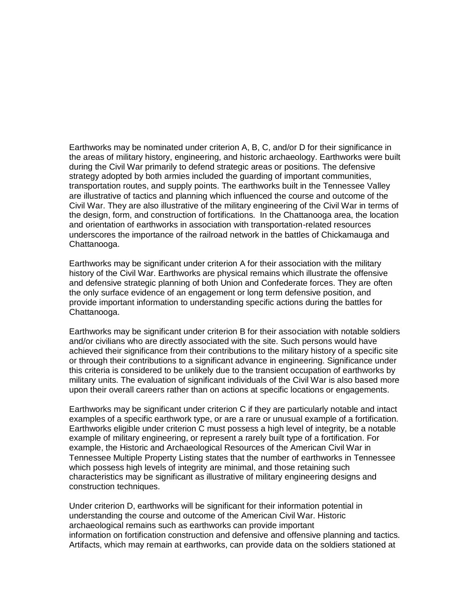Earthworks may be nominated under criterion A, B, C, and/or D for their significance in the areas of military history, engineering, and historic archaeology. Earthworks were built during the Civil War primarily to defend strategic areas or positions. The defensive strategy adopted by both armies included the guarding of important communities, transportation routes, and supply points. The earthworks built in the Tennessee Valley are illustrative of tactics and planning which influenced the course and outcome of the Civil War. They are also illustrative of the military engineering of the Civil War in terms of the design, form, and construction of fortifications. In the Chattanooga area, the location and orientation of earthworks in association with transportation-related resources underscores the importance of the railroad network in the battles of Chickamauga and Chattanooga.

Earthworks may be significant under criterion A for their association with the military history of the Civil War. Earthworks are physical remains which illustrate the offensive and defensive strategic planning of both Union and Confederate forces. They are often the only surface evidence of an engagement or long term defensive position, and provide important information to understanding specific actions during the battles for Chattanooga.

Earthworks may be significant under criterion B for their association with notable soldiers and/or civilians who are directly associated with the site. Such persons would have achieved their significance from their contributions to the military history of a specific site or through their contributions to a significant advance in engineering. Significance under this criteria is considered to be unlikely due to the transient occupation of earthworks by military units. The evaluation of significant individuals of the Civil War is also based more upon their overall careers rather than on actions at specific locations or engagements.

Earthworks may be significant under criterion C if they are particularly notable and intact examples of a specific earthwork type, or are a rare or unusual example of a fortification. Earthworks eligible under criterion C must possess a high level of integrity, be a notable example of military engineering, or represent a rarely built type of a fortification. For example, the Historic and Archaeological Resources of the American Civil War in Tennessee Multiple Property Listing states that the number of earthworks in Tennessee which possess high levels of integrity are minimal, and those retaining such characteristics may be significant as illustrative of military engineering designs and construction techniques.

Under criterion D, earthworks will be significant for their information potential in understanding the course and outcome of the American Civil War. Historic archaeological remains such as earthworks can provide important information on fortification construction and defensive and offensive planning and tactics. Artifacts, which may remain at earthworks, can provide data on the soldiers stationed at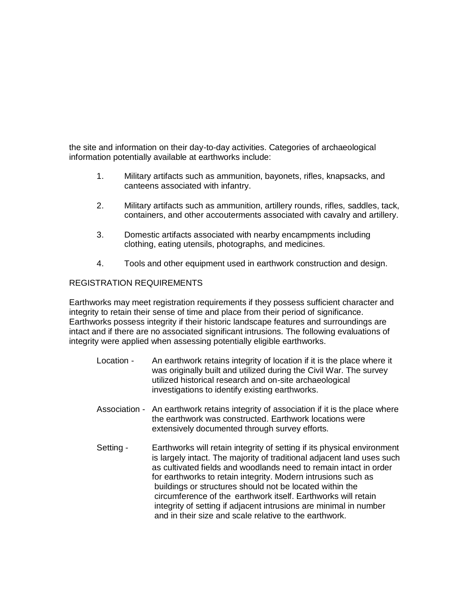the site and information on their day-to-day activities. Categories of archaeological information potentially available at earthworks include:

- 1. Military artifacts such as ammunition, bayonets, rifles, knapsacks, and canteens associated with infantry.
- 2. Military artifacts such as ammunition, artillery rounds, rifles, saddles, tack, containers, and other accouterments associated with cavalry and artillery.
- 3. Domestic artifacts associated with nearby encampments including clothing, eating utensils, photographs, and medicines.
- 4. Tools and other equipment used in earthwork construction and design.

# REGISTRATION REQUIREMENTS

Earthworks may meet registration requirements if they possess sufficient character and integrity to retain their sense of time and place from their period of significance. Earthworks possess integrity if their historic landscape features and surroundings are intact and if there are no associated significant intrusions. The following evaluations of integrity were applied when assessing potentially eligible earthworks.

- Location An earthwork retains integrity of location if it is the place where it was originally built and utilized during the Civil War. The survey utilized historical research and on-site archaeological investigations to identify existing earthworks.
- Association An earthwork retains integrity of association if it is the place where the earthwork was constructed. Earthwork locations were extensively documented through survey efforts.
- Setting Earthworks will retain integrity of setting if its physical environment is largely intact. The majority of traditional adjacent land uses such as cultivated fields and woodlands need to remain intact in order for earthworks to retain integrity. Modern intrusions such as buildings or structures should not be located within the circumference of the earthwork itself. Earthworks will retain integrity of setting if adjacent intrusions are minimal in number and in their size and scale relative to the earthwork.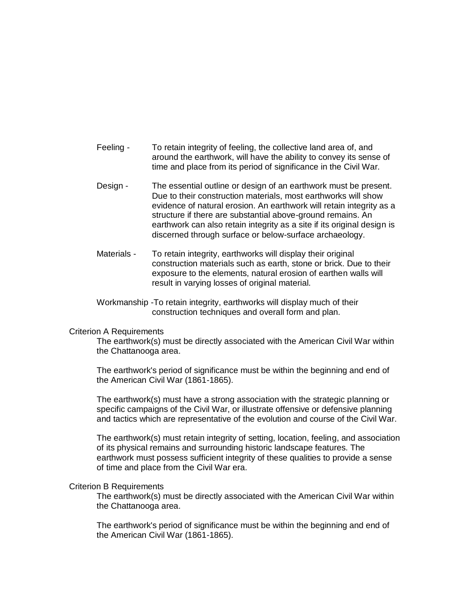- Feeling To retain integrity of feeling, the collective land area of, and around the earthwork, will have the ability to convey its sense of time and place from its period of significance in the Civil War.
- Design The essential outline or design of an earthwork must be present. Due to their construction materials, most earthworks will show evidence of natural erosion. An earthwork will retain integrity as a structure if there are substantial above-ground remains. An earthwork can also retain integrity as a site if its original design is discerned through surface or below-surface archaeology.
- Materials To retain integrity, earthworks will display their original construction materials such as earth, stone or brick. Due to their exposure to the elements, natural erosion of earthen walls will result in varying losses of original material.
- Workmanship -To retain integrity, earthworks will display much of their construction techniques and overall form and plan.

#### Criterion A Requirements

The earthwork(s) must be directly associated with the American Civil War within the Chattanooga area.

The earthwork's period of significance must be within the beginning and end of the American Civil War (1861-1865).

The earthwork(s) must have a strong association with the strategic planning or specific campaigns of the Civil War, or illustrate offensive or defensive planning and tactics which are representative of the evolution and course of the Civil War.

The earthwork(s) must retain integrity of setting, location, feeling, and association of its physical remains and surrounding historic landscape features. The earthwork must possess sufficient integrity of these qualities to provide a sense of time and place from the Civil War era.

#### Criterion B Requirements

The earthwork(s) must be directly associated with the American Civil War within the Chattanooga area.

The earthwork's period of significance must be within the beginning and end of the American Civil War (1861-1865).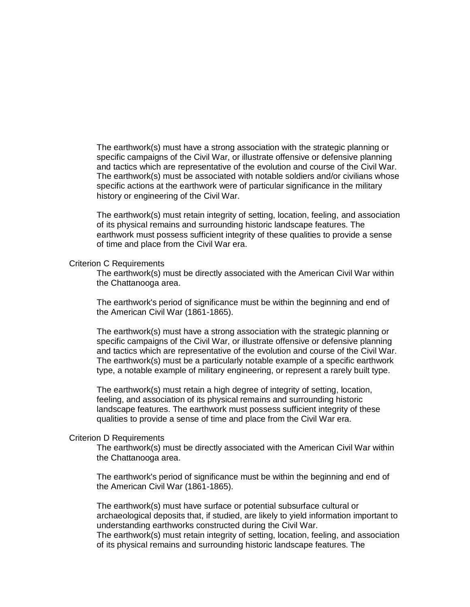The earthwork(s) must have a strong association with the strategic planning or specific campaigns of the Civil War, or illustrate offensive or defensive planning and tactics which are representative of the evolution and course of the Civil War. The earthwork(s) must be associated with notable soldiers and/or civilians whose specific actions at the earthwork were of particular significance in the military history or engineering of the Civil War.

The earthwork(s) must retain integrity of setting, location, feeling, and association of its physical remains and surrounding historic landscape features. The earthwork must possess sufficient integrity of these qualities to provide a sense of time and place from the Civil War era.

#### Criterion C Requirements

The earthwork(s) must be directly associated with the American Civil War within the Chattanooga area.

The earthwork's period of significance must be within the beginning and end of the American Civil War (1861-1865).

The earthwork(s) must have a strong association with the strategic planning or specific campaigns of the Civil War, or illustrate offensive or defensive planning and tactics which are representative of the evolution and course of the Civil War. The earthwork(s) must be a particularly notable example of a specific earthwork type, a notable example of military engineering, or represent a rarely built type.

The earthwork(s) must retain a high degree of integrity of setting, location, feeling, and association of its physical remains and surrounding historic landscape features. The earthwork must possess sufficient integrity of these qualities to provide a sense of time and place from the Civil War era.

### Criterion D Requirements

The earthwork(s) must be directly associated with the American Civil War within the Chattanooga area.

The earthwork's period of significance must be within the beginning and end of the American Civil War (1861-1865).

The earthwork(s) must have surface or potential subsurface cultural or archaeological deposits that, if studied, are likely to yield information important to understanding earthworks constructed during the Civil War. The earthwork(s) must retain integrity of setting, location, feeling, and association of its physical remains and surrounding historic landscape features. The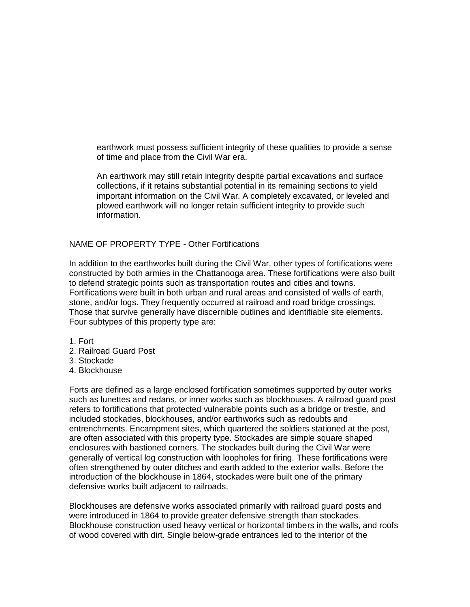earthwork must possess sufficient integrity of these qualities to provide a sense of time and place from the Civil War era.

An earthwork may still retain integrity despite partial excavations and surface collections, if it retains substantial potential in its remaining sections to yield important information on the Civil War. A completely excavated, or leveled and plowed earthwork will no longer retain sufficient integrity to provide such information.

NAME OF PROPERTY TYPE - Other Fortifications

In addition to the earthworks built during the Civil War, other types of fortifications were constructed by both armies in the Chattanooga area. These fortifications were also built to defend strategic points such as transportation routes and cities and towns. Fortifications were built in both urban and rural areas and consisted of walls of earth, stone, and/or logs. They frequently occurred at railroad and road bridge crossings. Those that survive generally have discernible outlines and identifiable site elements. Four subtypes of this property type are:

1. Fort

- 2. Railroad Guard Post
- 3. Stockade
- 4. Blockhouse

Forts are defined as a large enclosed fortification sometimes supported by outer works such as lunettes and redans, or inner works such as blockhouses. A railroad guard post refers to fortifications that protected vulnerable points such as a bridge or trestle, and included stockades, blockhouses, and/or earthworks such as redoubts and entrenchments. Encampment sites, which quartered the soldiers stationed at the post, are often associated with this property type. Stockades are simple square shaped enclosures with bastioned corners. The stockades built during the Civil War were generally of vertical log construction with loopholes for firing. These fortifications were often strengthened by outer ditches and earth added to the exterior walls. Before the introduction of the blockhouse in 1864, stockades were built one of the primary defensive works built adjacent to railroads.

Blockhouses are defensive works associated primarily with railroad guard posts and were introduced in 1864 to provide greater defensive strength than stockades. Blockhouse construction used heavy vertical or horizontal timbers in the walls, and roofs of wood covered with dirt. Single below-grade entrances led to the interior of the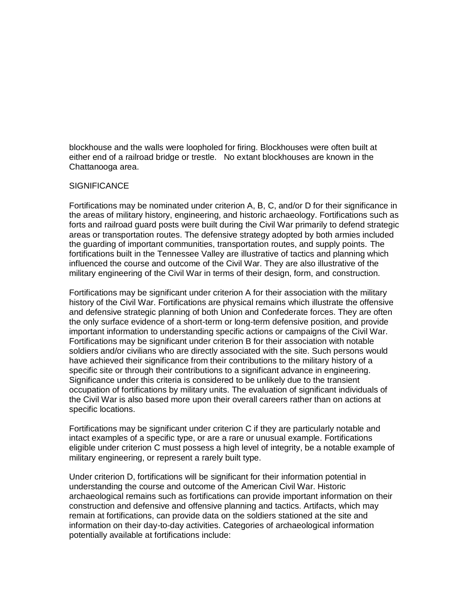blockhouse and the walls were loopholed for firing. Blockhouses were often built at either end of a railroad bridge or trestle. No extant blockhouses are known in the Chattanooga area.

# SIGNIFICANCE

Fortifications may be nominated under criterion A, B, C, and/or D for their significance in the areas of military history, engineering, and historic archaeology. Fortifications such as forts and railroad guard posts were built during the Civil War primarily to defend strategic areas or transportation routes. The defensive strategy adopted by both armies included the guarding of important communities, transportation routes, and supply points. The fortifications built in the Tennessee Valley are illustrative of tactics and planning which influenced the course and outcome of the Civil War. They are also illustrative of the military engineering of the Civil War in terms of their design, form, and construction.

Fortifications may be significant under criterion A for their association with the military history of the Civil War. Fortifications are physical remains which illustrate the offensive and defensive strategic planning of both Union and Confederate forces. They are often the only surface evidence of a short-term or long-term defensive position, and provide important information to understanding specific actions or campaigns of the Civil War. Fortifications may be significant under criterion B for their association with notable soldiers and/or civilians who are directly associated with the site. Such persons would have achieved their significance from their contributions to the military history of a specific site or through their contributions to a significant advance in engineering. Significance under this criteria is considered to be unlikely due to the transient occupation of fortifications by military units. The evaluation of significant individuals of the Civil War is also based more upon their overall careers rather than on actions at specific locations.

Fortifications may be significant under criterion C if they are particularly notable and intact examples of a specific type, or are a rare or unusual example. Fortifications eligible under criterion C must possess a high level of integrity, be a notable example of military engineering, or represent a rarely built type.

Under criterion D, fortifications will be significant for their information potential in understanding the course and outcome of the American Civil War. Historic archaeological remains such as fortifications can provide important information on their construction and defensive and offensive planning and tactics. Artifacts, which may remain at fortifications, can provide data on the soldiers stationed at the site and information on their day-to-day activities. Categories of archaeological information potentially available at fortifications include: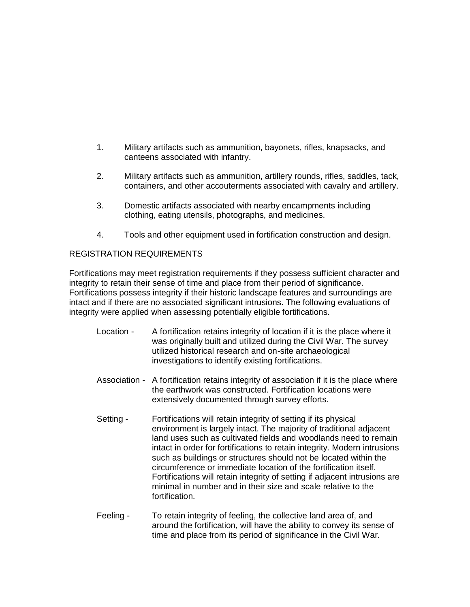- 1. Military artifacts such as ammunition, bayonets, rifles, knapsacks, and canteens associated with infantry.
- 2. Military artifacts such as ammunition, artillery rounds, rifles, saddles, tack, containers, and other accouterments associated with cavalry and artillery.
- 3. Domestic artifacts associated with nearby encampments including clothing, eating utensils, photographs, and medicines.
- 4. Tools and other equipment used in fortification construction and design.

# REGISTRATION REQUIREMENTS

Fortifications may meet registration requirements if they possess sufficient character and integrity to retain their sense of time and place from their period of significance. Fortifications possess integrity if their historic landscape features and surroundings are intact and if there are no associated significant intrusions. The following evaluations of integrity were applied when assessing potentially eligible fortifications.

- Location A fortification retains integrity of location if it is the place where it was originally built and utilized during the Civil War. The survey utilized historical research and on-site archaeological investigations to identify existing fortifications.
- Association A fortification retains integrity of association if it is the place where the earthwork was constructed. Fortification locations were extensively documented through survey efforts.
- Setting Fortifications will retain integrity of setting if its physical environment is largely intact. The majority of traditional adjacent land uses such as cultivated fields and woodlands need to remain intact in order for fortifications to retain integrity. Modern intrusions such as buildings or structures should not be located within the circumference or immediate location of the fortification itself. Fortifications will retain integrity of setting if adjacent intrusions are minimal in number and in their size and scale relative to the fortification.
- Feeling To retain integrity of feeling, the collective land area of, and around the fortification, will have the ability to convey its sense of time and place from its period of significance in the Civil War.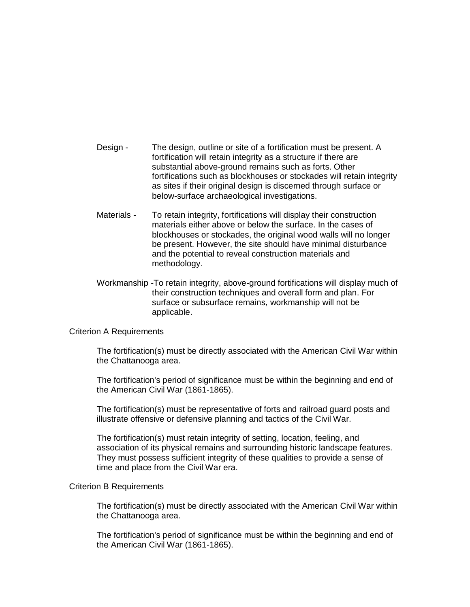- Design The design, outline or site of a fortification must be present. A fortification will retain integrity as a structure if there are substantial above-ground remains such as forts. Other fortifications such as blockhouses or stockades will retain integrity as sites if their original design is discerned through surface or below-surface archaeological investigations.
- Materials To retain integrity, fortifications will display their construction materials either above or below the surface. In the cases of blockhouses or stockades, the original wood walls will no longer be present. However, the site should have minimal disturbance and the potential to reveal construction materials and methodology.
- Workmanship -To retain integrity, above-ground fortifications will display much of their construction techniques and overall form and plan. For surface or subsurface remains, workmanship will not be applicable.

## Criterion A Requirements

The fortification(s) must be directly associated with the American Civil War within the Chattanooga area.

The fortification's period of significance must be within the beginning and end of the American Civil War (1861-1865).

The fortification(s) must be representative of forts and railroad guard posts and illustrate offensive or defensive planning and tactics of the Civil War.

The fortification(s) must retain integrity of setting, location, feeling, and association of its physical remains and surrounding historic landscape features. They must possess sufficient integrity of these qualities to provide a sense of time and place from the Civil War era.

#### Criterion B Requirements

The fortification(s) must be directly associated with the American Civil War within the Chattanooga area.

The fortification's period of significance must be within the beginning and end of the American Civil War (1861-1865).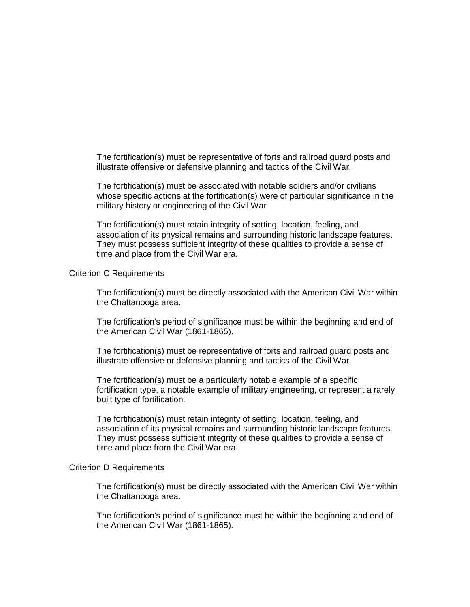The fortification(s) must be representative of forts and railroad guard posts and illustrate offensive or defensive planning and tactics of the Civil War.

The fortification(s) must be associated with notable soldiers and/or civilians whose specific actions at the fortification(s) were of particular significance in the military history or engineering of the Civil War

The fortification(s) must retain integrity of setting, location, feeling, and association of its physical remains and surrounding historic landscape features. They must possess sufficient integrity of these qualities to provide a sense of time and place from the Civil War era.

#### Criterion C Requirements

The fortification(s) must be directly associated with the American Civil War within the Chattanooga area.

The fortification's period of significance must be within the beginning and end of the American Civil War (1861-1865).

The fortification(s) must be representative of forts and railroad guard posts and illustrate offensive or defensive planning and tactics of the Civil War.

The fortification(s) must be a particularly notable example of a specific fortification type, a notable example of military engineering, or represent a rarely built type of fortification.

The fortification(s) must retain integrity of setting, location, feeling, and association of its physical remains and surrounding historic landscape features. They must possess sufficient integrity of these qualities to provide a sense of time and place from the Civil War era.

#### Criterion D Requirements

The fortification(s) must be directly associated with the American Civil War within the Chattanooga area.

The fortification's period of significance must be within the beginning and end of the American Civil War (1861-1865).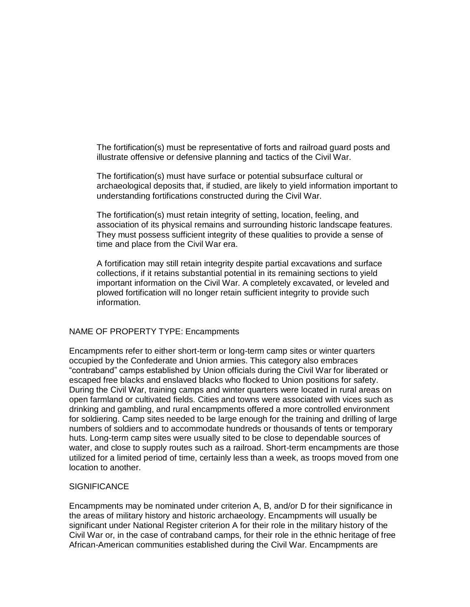The fortification(s) must be representative of forts and railroad guard posts and illustrate offensive or defensive planning and tactics of the Civil War.

The fortification(s) must have surface or potential subsurface cultural or archaeological deposits that, if studied, are likely to yield information important to understanding fortifications constructed during the Civil War.

The fortification(s) must retain integrity of setting, location, feeling, and association of its physical remains and surrounding historic landscape features. They must possess sufficient integrity of these qualities to provide a sense of time and place from the Civil War era.

A fortification may still retain integrity despite partial excavations and surface collections, if it retains substantial potential in its remaining sections to yield important information on the Civil War. A completely excavated, or leveled and plowed fortification will no longer retain sufficient integrity to provide such information.

## NAME OF PROPERTY TYPE: Encampments

Encampments refer to either short-term or long-term camp sites or winter quarters occupied by the Confederate and Union armies. This category also embraces ―contraband‖ camps established by Union officials during the Civil War for liberated or escaped free blacks and enslaved blacks who flocked to Union positions for safety. During the Civil War, training camps and winter quarters were located in rural areas on open farmland or cultivated fields. Cities and towns were associated with vices such as drinking and gambling, and rural encampments offered a more controlled environment for soldiering. Camp sites needed to be large enough for the training and drilling of large numbers of soldiers and to accommodate hundreds or thousands of tents or temporary huts. Long-term camp sites were usually sited to be close to dependable sources of water, and close to supply routes such as a railroad. Short-term encampments are those utilized for a limited period of time, certainly less than a week, as troops moved from one location to another.

## **SIGNIFICANCE**

Encampments may be nominated under criterion A, B, and/or D for their significance in the areas of military history and historic archaeology. Encampments will usually be significant under National Register criterion A for their role in the military history of the Civil War or, in the case of contraband camps, for their role in the ethnic heritage of free African-American communities established during the Civil War. Encampments are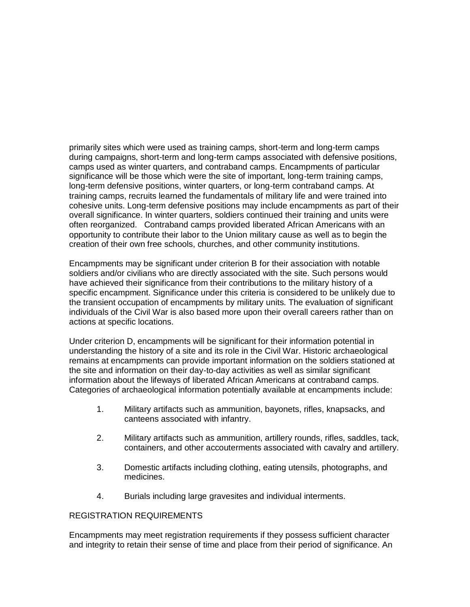primarily sites which were used as training camps, short-term and long-term camps during campaigns, short-term and long-term camps associated with defensive positions, camps used as winter quarters, and contraband camps. Encampments of particular significance will be those which were the site of important, long-term training camps, long-term defensive positions, winter quarters, or long-term contraband camps. At training camps, recruits learned the fundamentals of military life and were trained into cohesive units. Long-term defensive positions may include encampments as part of their overall significance. In winter quarters, soldiers continued their training and units were often reorganized. Contraband camps provided liberated African Americans with an opportunity to contribute their labor to the Union military cause as well as to begin the creation of their own free schools, churches, and other community institutions.

Encampments may be significant under criterion B for their association with notable soldiers and/or civilians who are directly associated with the site. Such persons would have achieved their significance from their contributions to the military history of a specific encampment. Significance under this criteria is considered to be unlikely due to the transient occupation of encampments by military units. The evaluation of significant individuals of the Civil War is also based more upon their overall careers rather than on actions at specific locations.

Under criterion D, encampments will be significant for their information potential in understanding the history of a site and its role in the Civil War. Historic archaeological remains at encampments can provide important information on the soldiers stationed at the site and information on their day-to-day activities as well as similar significant information about the lifeways of liberated African Americans at contraband camps. Categories of archaeological information potentially available at encampments include:

- 1. Military artifacts such as ammunition, bayonets, rifles, knapsacks, and canteens associated with infantry.
- 2. Military artifacts such as ammunition, artillery rounds, rifles, saddles, tack, containers, and other accouterments associated with cavalry and artillery.
- 3. Domestic artifacts including clothing, eating utensils, photographs, and medicines.
- 4. Burials including large gravesites and individual interments.

## REGISTRATION REQUIREMENTS

Encampments may meet registration requirements if they possess sufficient character and integrity to retain their sense of time and place from their period of significance. An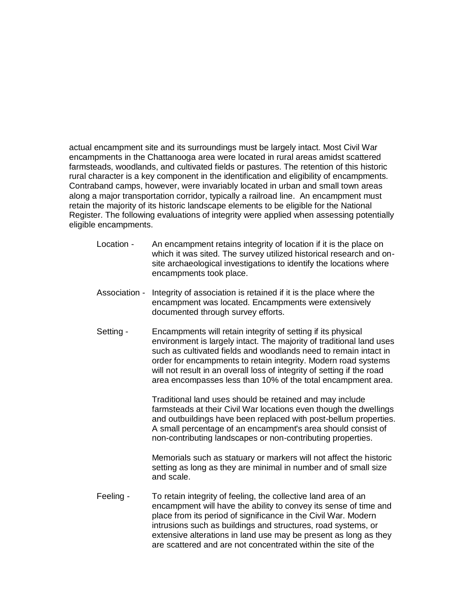actual encampment site and its surroundings must be largely intact. Most Civil War encampments in the Chattanooga area were located in rural areas amidst scattered farmsteads, woodlands, and cultivated fields or pastures. The retention of this historic rural character is a key component in the identification and eligibility of encampments. Contraband camps, however, were invariably located in urban and small town areas along a major transportation corridor, typically a railroad line. An encampment must retain the majority of its historic landscape elements to be eligible for the National Register. The following evaluations of integrity were applied when assessing potentially eligible encampments.

- Location An encampment retains integrity of location if it is the place on which it was sited. The survey utilized historical research and onsite archaeological investigations to identify the locations where encampments took place.
- Association Integrity of association is retained if it is the place where the encampment was located. Encampments were extensively documented through survey efforts.
- Setting Encampments will retain integrity of setting if its physical environment is largely intact. The majority of traditional land uses such as cultivated fields and woodlands need to remain intact in order for encampments to retain integrity. Modern road systems will not result in an overall loss of integrity of setting if the road area encompasses less than 10% of the total encampment area.

Traditional land uses should be retained and may include farmsteads at their Civil War locations even though the dwellings and outbuildings have been replaced with post-bellum properties. A small percentage of an encampment's area should consist of non-contributing landscapes or non-contributing properties.

Memorials such as statuary or markers will not affect the historic setting as long as they are minimal in number and of small size and scale.

Feeling - To retain integrity of feeling, the collective land area of an encampment will have the ability to convey its sense of time and place from its period of significance in the Civil War. Modern intrusions such as buildings and structures, road systems, or extensive alterations in land use may be present as long as they are scattered and are not concentrated within the site of the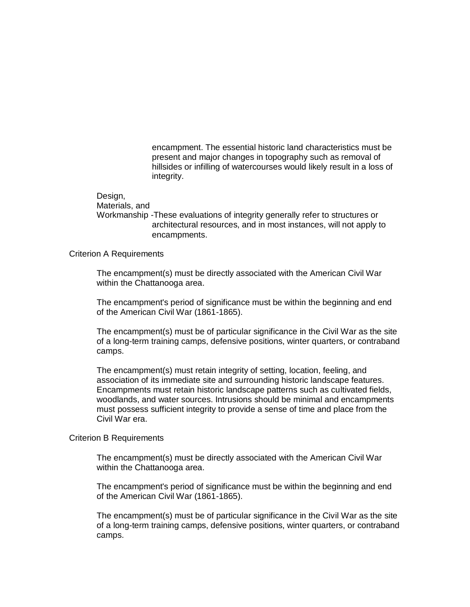encampment. The essential historic land characteristics must be present and major changes in topography such as removal of hillsides or infilling of watercourses would likely result in a loss of integrity.

#### Design,

Materials, and

Workmanship -These evaluations of integrity generally refer to structures or architectural resources, and in most instances, will not apply to encampments.

## Criterion A Requirements

The encampment(s) must be directly associated with the American Civil War within the Chattanooga area.

The encampment's period of significance must be within the beginning and end of the American Civil War (1861-1865).

The encampment(s) must be of particular significance in the Civil War as the site of a long-term training camps, defensive positions, winter quarters, or contraband camps.

The encampment(s) must retain integrity of setting, location, feeling, and association of its immediate site and surrounding historic landscape features. Encampments must retain historic landscape patterns such as cultivated fields, woodlands, and water sources. Intrusions should be minimal and encampments must possess sufficient integrity to provide a sense of time and place from the Civil War era.

## Criterion B Requirements

The encampment(s) must be directly associated with the American Civil War within the Chattanooga area.

The encampment's period of significance must be within the beginning and end of the American Civil War (1861-1865).

The encampment(s) must be of particular significance in the Civil War as the site of a long-term training camps, defensive positions, winter quarters, or contraband camps.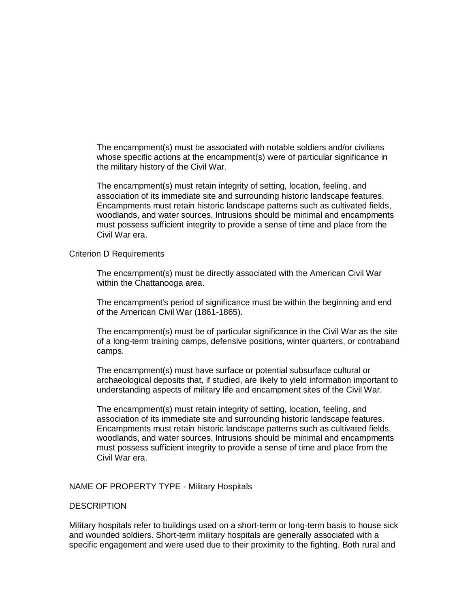The encampment(s) must be associated with notable soldiers and/or civilians whose specific actions at the encampment(s) were of particular significance in the military history of the Civil War.

The encampment(s) must retain integrity of setting, location, feeling, and association of its immediate site and surrounding historic landscape features. Encampments must retain historic landscape patterns such as cultivated fields, woodlands, and water sources. Intrusions should be minimal and encampments must possess sufficient integrity to provide a sense of time and place from the Civil War era.

## Criterion D Requirements

The encampment(s) must be directly associated with the American Civil War within the Chattanooga area.

The encampment's period of significance must be within the beginning and end of the American Civil War (1861-1865).

The encampment(s) must be of particular significance in the Civil War as the site of a long-term training camps, defensive positions, winter quarters, or contraband camps.

The encampment(s) must have surface or potential subsurface cultural or archaeological deposits that, if studied, are likely to yield information important to understanding aspects of military life and encampment sites of the Civil War.

The encampment(s) must retain integrity of setting, location, feeling, and association of its immediate site and surrounding historic landscape features. Encampments must retain historic landscape patterns such as cultivated fields, woodlands, and water sources. Intrusions should be minimal and encampments must possess sufficient integrity to provide a sense of time and place from the Civil War era.

## NAME OF PROPERTY TYPE - Military Hospitals

## **DESCRIPTION**

Military hospitals refer to buildings used on a short-term or long-term basis to house sick and wounded soldiers. Short-term military hospitals are generally associated with a specific engagement and were used due to their proximity to the fighting. Both rural and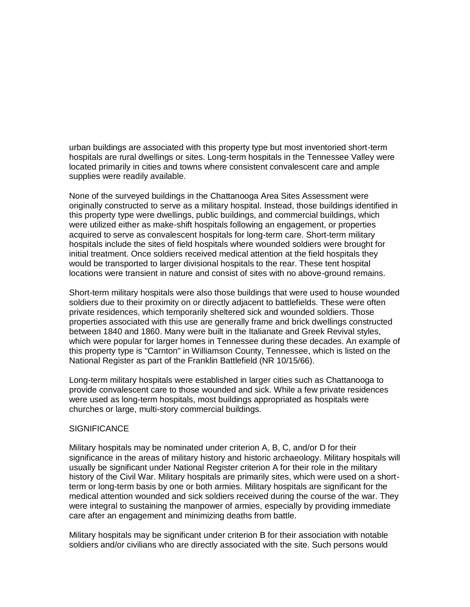urban buildings are associated with this property type but most inventoried short-term hospitals are rural dwellings or sites. Long-term hospitals in the Tennessee Valley were located primarily in cities and towns where consistent convalescent care and ample supplies were readily available.

None of the surveyed buildings in the Chattanooga Area Sites Assessment were originally constructed to serve as a military hospital. Instead, those buildings identified in this property type were dwellings, public buildings, and commercial buildings, which were utilized either as make-shift hospitals following an engagement, or properties acquired to serve as convalescent hospitals for long-term care. Short-term military hospitals include the sites of field hospitals where wounded soldiers were brought for initial treatment. Once soldiers received medical attention at the field hospitals they would be transported to larger divisional hospitals to the rear. These tent hospital locations were transient in nature and consist of sites with no above-ground remains.

Short-term military hospitals were also those buildings that were used to house wounded soldiers due to their proximity on or directly adjacent to battlefields. These were often private residences, which temporarily sheltered sick and wounded soldiers. Those properties associated with this use are generally frame and brick dwellings constructed between 1840 and 1860. Many were built in the Italianate and Greek Revival styles, which were popular for larger homes in Tennessee during these decades. An example of this property type is "Carnton" in Williamson County, Tennessee, which is listed on the National Register as part of the Franklin Battlefield (NR 10/15/66).

Long-term military hospitals were established in larger cities such as Chattanooga to provide convalescent care to those wounded and sick. While a few private residences were used as long-term hospitals, most buildings appropriated as hospitals were churches or large, multi-story commercial buildings.

## **SIGNIFICANCE**

Military hospitals may be nominated under criterion A, B, C, and/or D for their significance in the areas of military history and historic archaeology. Military hospitals will usually be significant under National Register criterion A for their role in the military history of the Civil War. Military hospitals are primarily sites, which were used on a shortterm or long-term basis by one or both armies. Military hospitals are significant for the medical attention wounded and sick soldiers received during the course of the war. They were integral to sustaining the manpower of armies, especially by providing immediate care after an engagement and minimizing deaths from battle.

Military hospitals may be significant under criterion B for their association with notable soldiers and/or civilians who are directly associated with the site. Such persons would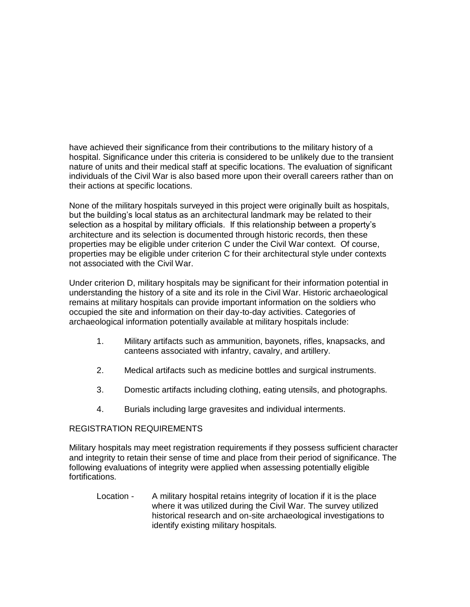have achieved their significance from their contributions to the military history of a hospital. Significance under this criteria is considered to be unlikely due to the transient nature of units and their medical staff at specific locations. The evaluation of significant individuals of the Civil War is also based more upon their overall careers rather than on their actions at specific locations.

None of the military hospitals surveyed in this project were originally built as hospitals, but the building's local status as an architectural landmark may be related to their selection as a hospital by military officials. If this relationship between a property's architecture and its selection is documented through historic records, then these properties may be eligible under criterion C under the Civil War context. Of course, properties may be eligible under criterion C for their architectural style under contexts not associated with the Civil War.

Under criterion D, military hospitals may be significant for their information potential in understanding the history of a site and its role in the Civil War. Historic archaeological remains at military hospitals can provide important information on the soldiers who occupied the site and information on their day-to-day activities. Categories of archaeological information potentially available at military hospitals include:

- 1. Military artifacts such as ammunition, bayonets, rifles, knapsacks, and canteens associated with infantry, cavalry, and artillery.
- 2. Medical artifacts such as medicine bottles and surgical instruments.
- 3. Domestic artifacts including clothing, eating utensils, and photographs.
- 4. Burials including large gravesites and individual interments.

## REGISTRATION REQUIREMENTS

Military hospitals may meet registration requirements if they possess sufficient character and integrity to retain their sense of time and place from their period of significance. The following evaluations of integrity were applied when assessing potentially eligible fortifications.

Location - A military hospital retains integrity of location if it is the place where it was utilized during the Civil War. The survey utilized historical research and on-site archaeological investigations to identify existing military hospitals.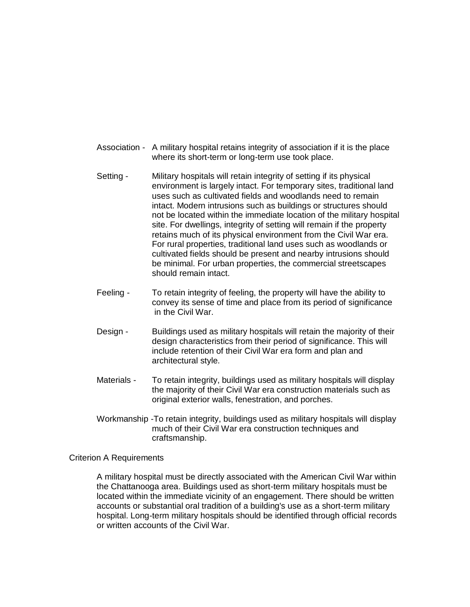- Association A military hospital retains integrity of association if it is the place where its short-term or long-term use took place.
- Setting Military hospitals will retain integrity of setting if its physical environment is largely intact. For temporary sites, traditional land uses such as cultivated fields and woodlands need to remain intact. Modern intrusions such as buildings or structures should not be located within the immediate location of the military hospital site. For dwellings, integrity of setting will remain if the property retains much of its physical environment from the Civil War era. For rural properties, traditional land uses such as woodlands or cultivated fields should be present and nearby intrusions should be minimal. For urban properties, the commercial streetscapes should remain intact.
- Feeling To retain integrity of feeling, the property will have the ability to convey its sense of time and place from its period of significance in the Civil War.
- Design Buildings used as military hospitals will retain the majority of their design characteristics from their period of significance. This will include retention of their Civil War era form and plan and architectural style.
- Materials To retain integrity, buildings used as military hospitals will display the majority of their Civil War era construction materials such as original exterior walls, fenestration, and porches.
- Workmanship -To retain integrity, buildings used as military hospitals will display much of their Civil War era construction techniques and craftsmanship.

## Criterion A Requirements

A military hospital must be directly associated with the American Civil War within the Chattanooga area. Buildings used as short-term military hospitals must be located within the immediate vicinity of an engagement. There should be written accounts or substantial oral tradition of a building's use as a short-term military hospital. Long-term military hospitals should be identified through official records or written accounts of the Civil War.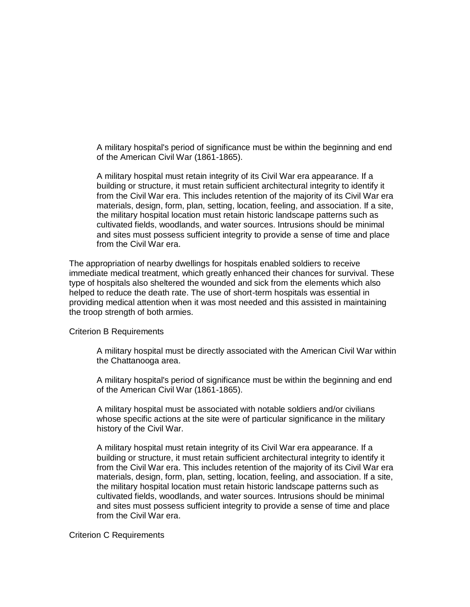A military hospital's period of significance must be within the beginning and end of the American Civil War (1861-1865).

A military hospital must retain integrity of its Civil War era appearance. If a building or structure, it must retain sufficient architectural integrity to identify it from the Civil War era. This includes retention of the majority of its Civil War era materials, design, form, plan, setting, location, feeling, and association. If a site, the military hospital location must retain historic landscape patterns such as cultivated fields, woodlands, and water sources. Intrusions should be minimal and sites must possess sufficient integrity to provide a sense of time and place from the Civil War era.

The appropriation of nearby dwellings for hospitals enabled soldiers to receive immediate medical treatment, which greatly enhanced their chances for survival. These type of hospitals also sheltered the wounded and sick from the elements which also helped to reduce the death rate. The use of short-term hospitals was essential in providing medical attention when it was most needed and this assisted in maintaining the troop strength of both armies.

#### Criterion B Requirements

A military hospital must be directly associated with the American Civil War within the Chattanooga area.

A military hospital's period of significance must be within the beginning and end of the American Civil War (1861-1865).

A military hospital must be associated with notable soldiers and/or civilians whose specific actions at the site were of particular significance in the military history of the Civil War.

A military hospital must retain integrity of its Civil War era appearance. If a building or structure, it must retain sufficient architectural integrity to identify it from the Civil War era. This includes retention of the majority of its Civil War era materials, design, form, plan, setting, location, feeling, and association. If a site, the military hospital location must retain historic landscape patterns such as cultivated fields, woodlands, and water sources. Intrusions should be minimal and sites must possess sufficient integrity to provide a sense of time and place from the Civil War era.

## Criterion C Requirements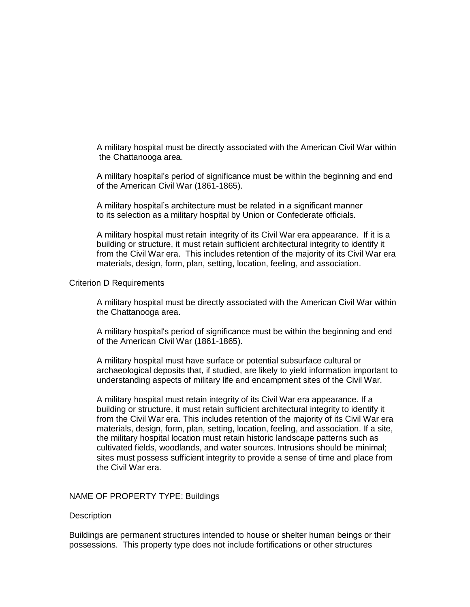A military hospital must be directly associated with the American Civil War within the Chattanooga area.

A military hospital's period of significance must be within the beginning and end of the American Civil War (1861-1865).

A military hospital's architecture must be related in a significant manner to its selection as a military hospital by Union or Confederate officials.

A military hospital must retain integrity of its Civil War era appearance. If it is a building or structure, it must retain sufficient architectural integrity to identify it from the Civil War era. This includes retention of the majority of its Civil War era materials, design, form, plan, setting, location, feeling, and association.

## Criterion D Requirements

A military hospital must be directly associated with the American Civil War within the Chattanooga area.

A military hospital's period of significance must be within the beginning and end of the American Civil War (1861-1865).

A military hospital must have surface or potential subsurface cultural or archaeological deposits that, if studied, are likely to yield information important to understanding aspects of military life and encampment sites of the Civil War.

A military hospital must retain integrity of its Civil War era appearance. If a building or structure, it must retain sufficient architectural integrity to identify it from the Civil War era. This includes retention of the majority of its Civil War era materials, design, form, plan, setting, location, feeling, and association. If a site, the military hospital location must retain historic landscape patterns such as cultivated fields, woodlands, and water sources. Intrusions should be minimal; sites must possess sufficient integrity to provide a sense of time and place from the Civil War era.

#### NAME OF PROPERTY TYPE: Buildings

#### **Description**

Buildings are permanent structures intended to house or shelter human beings or their possessions. This property type does not include fortifications or other structures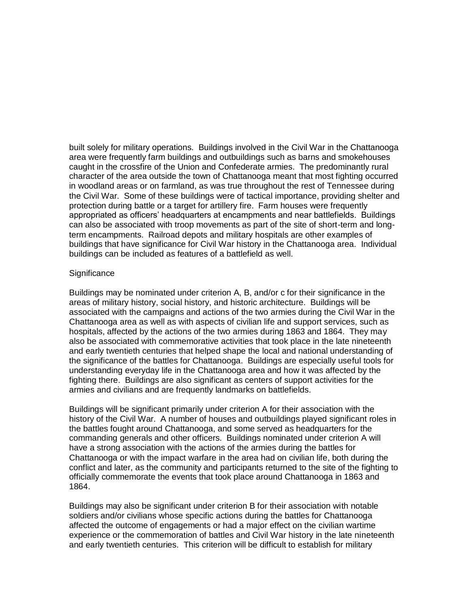built solely for military operations. Buildings involved in the Civil War in the Chattanooga area were frequently farm buildings and outbuildings such as barns and smokehouses caught in the crossfire of the Union and Confederate armies. The predominantly rural character of the area outside the town of Chattanooga meant that most fighting occurred in woodland areas or on farmland, as was true throughout the rest of Tennessee during the Civil War. Some of these buildings were of tactical importance, providing shelter and protection during battle or a target for artillery fire. Farm houses were frequently appropriated as officers' headquarters at encampments and near battlefields. Buildings can also be associated with troop movements as part of the site of short-term and longterm encampments. Railroad depots and military hospitals are other examples of buildings that have significance for Civil War history in the Chattanooga area. Individual buildings can be included as features of a battlefield as well.

#### **Significance**

Buildings may be nominated under criterion A, B, and/or c for their significance in the areas of military history, social history, and historic architecture. Buildings will be associated with the campaigns and actions of the two armies during the Civil War in the Chattanooga area as well as with aspects of civilian life and support services, such as hospitals, affected by the actions of the two armies during 1863 and 1864. They may also be associated with commemorative activities that took place in the late nineteenth and early twentieth centuries that helped shape the local and national understanding of the significance of the battles for Chattanooga. Buildings are especially useful tools for understanding everyday life in the Chattanooga area and how it was affected by the fighting there. Buildings are also significant as centers of support activities for the armies and civilians and are frequently landmarks on battlefields.

Buildings will be significant primarily under criterion A for their association with the history of the Civil War. A number of houses and outbuildings played significant roles in the battles fought around Chattanooga, and some served as headquarters for the commanding generals and other officers. Buildings nominated under criterion A will have a strong association with the actions of the armies during the battles for Chattanooga or with the impact warfare in the area had on civilian life, both during the conflict and later, as the community and participants returned to the site of the fighting to officially commemorate the events that took place around Chattanooga in 1863 and 1864.

Buildings may also be significant under criterion B for their association with notable soldiers and/or civilians whose specific actions during the battles for Chattanooga affected the outcome of engagements or had a major effect on the civilian wartime experience or the commemoration of battles and Civil War history in the late nineteenth and early twentieth centuries. This criterion will be difficult to establish for military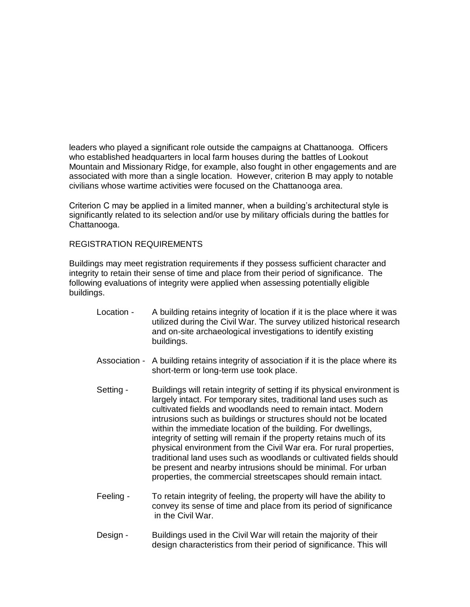leaders who played a significant role outside the campaigns at Chattanooga. Officers who established headquarters in local farm houses during the battles of Lookout Mountain and Missionary Ridge, for example, also fought in other engagements and are associated with more than a single location. However, criterion B may apply to notable civilians whose wartime activities were focused on the Chattanooga area.

Criterion C may be applied in a limited manner, when a building's architectural style is significantly related to its selection and/or use by military officials during the battles for Chattanooga.

## REGISTRATION REQUIREMENTS

Buildings may meet registration requirements if they possess sufficient character and integrity to retain their sense of time and place from their period of significance. The following evaluations of integrity were applied when assessing potentially eligible buildings.

- Location A building retains integrity of location if it is the place where it was utilized during the Civil War. The survey utilized historical research and on-site archaeological investigations to identify existing buildings.
- Association A building retains integrity of association if it is the place where its short-term or long-term use took place.
- Setting Buildings will retain integrity of setting if its physical environment is largely intact. For temporary sites, traditional land uses such as cultivated fields and woodlands need to remain intact. Modern intrusions such as buildings or structures should not be located within the immediate location of the building. For dwellings, integrity of setting will remain if the property retains much of its physical environment from the Civil War era. For rural properties, traditional land uses such as woodlands or cultivated fields should be present and nearby intrusions should be minimal. For urban properties, the commercial streetscapes should remain intact.
- Feeling To retain integrity of feeling, the property will have the ability to convey its sense of time and place from its period of significance in the Civil War.
- Design Buildings used in the Civil War will retain the majority of their design characteristics from their period of significance. This will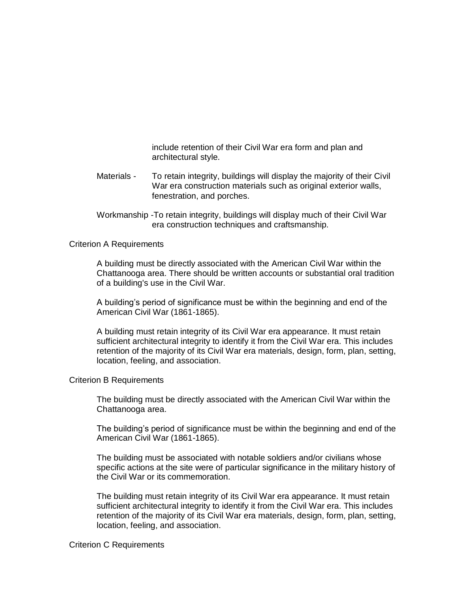include retention of their Civil War era form and plan and architectural style.

- Materials To retain integrity, buildings will display the majority of their Civil War era construction materials such as original exterior walls, fenestration, and porches.
- Workmanship -To retain integrity, buildings will display much of their Civil War era construction techniques and craftsmanship.

## Criterion A Requirements

A building must be directly associated with the American Civil War within the Chattanooga area. There should be written accounts or substantial oral tradition of a building's use in the Civil War.

A building's period of significance must be within the beginning and end of the American Civil War (1861-1865).

A building must retain integrity of its Civil War era appearance. It must retain sufficient architectural integrity to identify it from the Civil War era. This includes retention of the majority of its Civil War era materials, design, form, plan, setting, location, feeling, and association.

## Criterion B Requirements

The building must be directly associated with the American Civil War within the Chattanooga area.

The building's period of significance must be within the beginning and end of the American Civil War (1861-1865).

The building must be associated with notable soldiers and/or civilians whose specific actions at the site were of particular significance in the military history of the Civil War or its commemoration.

The building must retain integrity of its Civil War era appearance. It must retain sufficient architectural integrity to identify it from the Civil War era. This includes retention of the majority of its Civil War era materials, design, form, plan, setting, location, feeling, and association.

#### Criterion C Requirements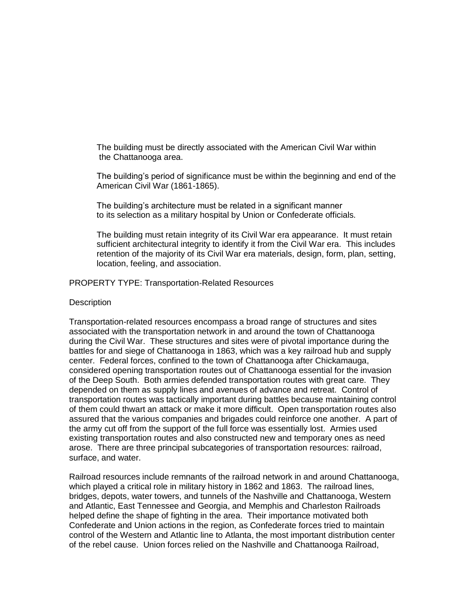The building must be directly associated with the American Civil War within the Chattanooga area.

The building's period of significance must be within the beginning and end of the American Civil War (1861-1865).

The building's architecture must be related in a significant manner to its selection as a military hospital by Union or Confederate officials.

The building must retain integrity of its Civil War era appearance. It must retain sufficient architectural integrity to identify it from the Civil War era. This includes retention of the majority of its Civil War era materials, design, form, plan, setting, location, feeling, and association.

PROPERTY TYPE: Transportation-Related Resources

#### **Description**

Transportation-related resources encompass a broad range of structures and sites associated with the transportation network in and around the town of Chattanooga during the Civil War. These structures and sites were of pivotal importance during the battles for and siege of Chattanooga in 1863, which was a key railroad hub and supply center. Federal forces, confined to the town of Chattanooga after Chickamauga, considered opening transportation routes out of Chattanooga essential for the invasion of the Deep South. Both armies defended transportation routes with great care. They depended on them as supply lines and avenues of advance and retreat. Control of transportation routes was tactically important during battles because maintaining control of them could thwart an attack or make it more difficult. Open transportation routes also assured that the various companies and brigades could reinforce one another. A part of the army cut off from the support of the full force was essentially lost. Armies used existing transportation routes and also constructed new and temporary ones as need arose. There are three principal subcategories of transportation resources: railroad, surface, and water.

Railroad resources include remnants of the railroad network in and around Chattanooga, which played a critical role in military history in 1862 and 1863. The railroad lines, bridges, depots, water towers, and tunnels of the Nashville and Chattanooga, Western and Atlantic, East Tennessee and Georgia, and Memphis and Charleston Railroads helped define the shape of fighting in the area. Their importance motivated both Confederate and Union actions in the region, as Confederate forces tried to maintain control of the Western and Atlantic line to Atlanta, the most important distribution center of the rebel cause. Union forces relied on the Nashville and Chattanooga Railroad,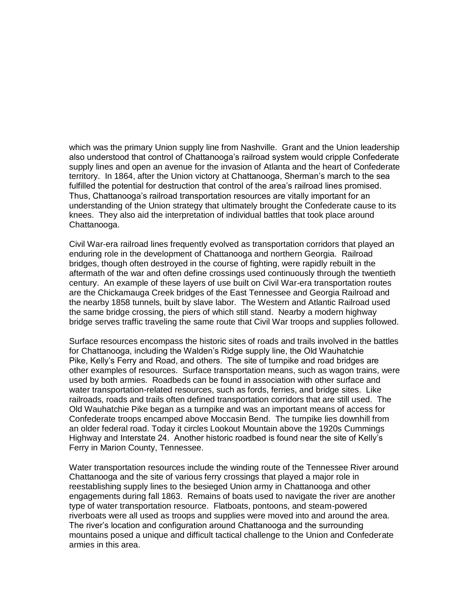which was the primary Union supply line from Nashville. Grant and the Union leadership also understood that control of Chattanooga's railroad system would cripple Confederate supply lines and open an avenue for the invasion of Atlanta and the heart of Confederate territory. In 1864, after the Union victory at Chattanooga, Sherman's march to the sea fulfilled the potential for destruction that control of the area's railroad lines promised. Thus, Chattanooga's railroad transportation resources are vitally important for an understanding of the Union strategy that ultimately brought the Confederate cause to its knees. They also aid the interpretation of individual battles that took place around Chattanooga.

Civil War-era railroad lines frequently evolved as transportation corridors that played an enduring role in the development of Chattanooga and northern Georgia. Railroad bridges, though often destroyed in the course of fighting, were rapidly rebuilt in the aftermath of the war and often define crossings used continuously through the twentieth century. An example of these layers of use built on Civil War-era transportation routes are the Chickamauga Creek bridges of the East Tennessee and Georgia Railroad and the nearby 1858 tunnels, built by slave labor. The Western and Atlantic Railroad used the same bridge crossing, the piers of which still stand. Nearby a modern highway bridge serves traffic traveling the same route that Civil War troops and supplies followed.

Surface resources encompass the historic sites of roads and trails involved in the battles for Chattanooga, including the Walden's Ridge supply line, the Old Wauhatchie Pike, Kelly's Ferry and Road, and others. The site of turnpike and road bridges are other examples of resources. Surface transportation means, such as wagon trains, were used by both armies. Roadbeds can be found in association with other surface and water transportation-related resources, such as fords, ferries, and bridge sites. Like railroads, roads and trails often defined transportation corridors that are still used. The Old Wauhatchie Pike began as a turnpike and was an important means of access for Confederate troops encamped above Moccasin Bend. The turnpike lies downhill from an older federal road. Today it circles Lookout Mountain above the 1920s Cummings Highway and Interstate 24. Another historic roadbed is found near the site of Kelly's Ferry in Marion County, Tennessee.

Water transportation resources include the winding route of the Tennessee River around Chattanooga and the site of various ferry crossings that played a major role in reestablishing supply lines to the besieged Union army in Chattanooga and other engagements during fall 1863. Remains of boats used to navigate the river are another type of water transportation resource. Flatboats, pontoons, and steam-powered riverboats were all used as troops and supplies were moved into and around the area. The river's location and configuration around Chattanooga and the surrounding mountains posed a unique and difficult tactical challenge to the Union and Confederate armies in this area.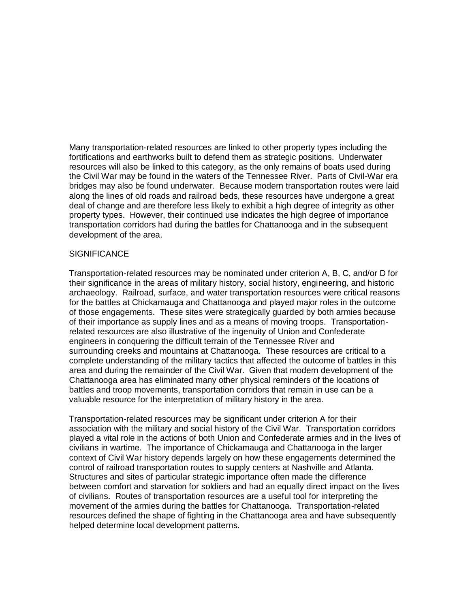Many transportation-related resources are linked to other property types including the fortifications and earthworks built to defend them as strategic positions. Underwater resources will also be linked to this category, as the only remains of boats used during the Civil War may be found in the waters of the Tennessee River. Parts of Civil-War era bridges may also be found underwater. Because modern transportation routes were laid along the lines of old roads and railroad beds, these resources have undergone a great deal of change and are therefore less likely to exhibit a high degree of integrity as other property types. However, their continued use indicates the high degree of importance transportation corridors had during the battles for Chattanooga and in the subsequent development of the area.

## **SIGNIFICANCE**

Transportation-related resources may be nominated under criterion A, B, C, and/or D for their significance in the areas of military history, social history, engineering, and historic archaeology. Railroad, surface, and water transportation resources were critical reasons for the battles at Chickamauga and Chattanooga and played major roles in the outcome of those engagements. These sites were strategically guarded by both armies because of their importance as supply lines and as a means of moving troops. Transportationrelated resources are also illustrative of the ingenuity of Union and Confederate engineers in conquering the difficult terrain of the Tennessee River and surrounding creeks and mountains at Chattanooga. These resources are critical to a complete understanding of the military tactics that affected the outcome of battles in this area and during the remainder of the Civil War. Given that modern development of the Chattanooga area has eliminated many other physical reminders of the locations of battles and troop movements, transportation corridors that remain in use can be a valuable resource for the interpretation of military history in the area.

Transportation-related resources may be significant under criterion A for their association with the military and social history of the Civil War. Transportation corridors played a vital role in the actions of both Union and Confederate armies and in the lives of civilians in wartime. The importance of Chickamauga and Chattanooga in the larger context of Civil War history depends largely on how these engagements determined the control of railroad transportation routes to supply centers at Nashville and Atlanta. Structures and sites of particular strategic importance often made the difference between comfort and starvation for soldiers and had an equally direct impact on the lives of civilians. Routes of transportation resources are a useful tool for interpreting the movement of the armies during the battles for Chattanooga. Transportation-related resources defined the shape of fighting in the Chattanooga area and have subsequently helped determine local development patterns.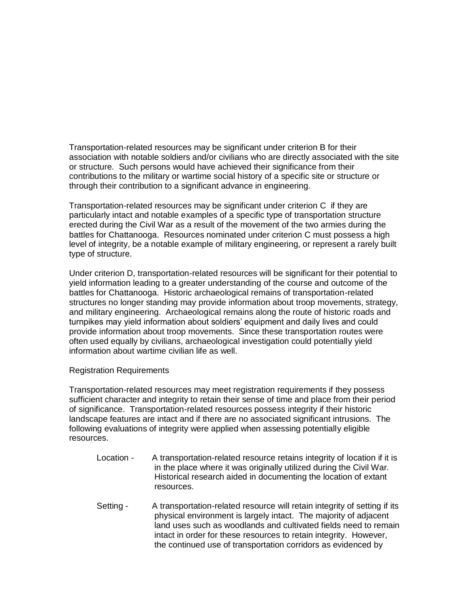Transportation-related resources may be significant under criterion B for their association with notable soldiers and/or civilians who are directly associated with the site or structure. Such persons would have achieved their significance from their contributions to the military or wartime social history of a specific site or structure or through their contribution to a significant advance in engineering.

Transportation-related resources may be significant under criterion C if they are particularly intact and notable examples of a specific type of transportation structure erected during the Civil War as a result of the movement of the two armies during the battles for Chattanooga. Resources nominated under criterion C must possess a high level of integrity, be a notable example of military engineering, or represent a rarely built type of structure.

Under criterion D, transportation-related resources will be significant for their potential to yield information leading to a greater understanding of the course and outcome of the battles for Chattanooga. Historic archaeological remains of transportation-related structures no longer standing may provide information about troop movements, strategy, and military engineering. Archaeological remains along the route of historic roads and turnpikes may yield information about soldiers' equipment and daily lives and could provide information about troop movements. Since these transportation routes were often used equally by civilians, archaeological investigation could potentially yield information about wartime civilian life as well.

## Registration Requirements

Transportation-related resources may meet registration requirements if they possess sufficient character and integrity to retain their sense of time and place from their period of significance. Transportation-related resources possess integrity if their historic landscape features are intact and if there are no associated significant intrusions. The following evaluations of integrity were applied when assessing potentially eligible resources.

- Location A transportation-related resource retains integrity of location if it is in the place where it was originally utilized during the Civil War. Historical research aided in documenting the location of extant resources.
- Setting A transportation-related resource will retain integrity of setting if its physical environment is largely intact. The majority of adjacent land uses such as woodlands and cultivated fields need to remain intact in order for these resources to retain integrity. However, the continued use of transportation corridors as evidenced by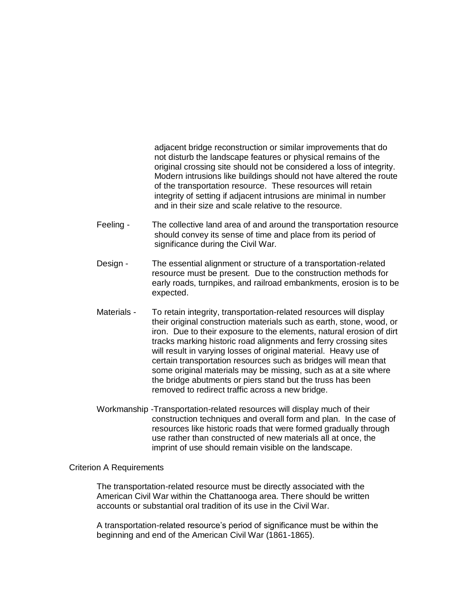adjacent bridge reconstruction or similar improvements that do not disturb the landscape features or physical remains of the original crossing site should not be considered a loss of integrity. Modern intrusions like buildings should not have altered the route of the transportation resource. These resources will retain integrity of setting if adjacent intrusions are minimal in number and in their size and scale relative to the resource.

- Feeling The collective land area of and around the transportation resource should convey its sense of time and place from its period of significance during the Civil War.
- Design The essential alignment or structure of a transportation-related resource must be present. Due to the construction methods for early roads, turnpikes, and railroad embankments, erosion is to be expected.
- Materials To retain integrity, transportation-related resources will display their original construction materials such as earth, stone, wood, or iron. Due to their exposure to the elements, natural erosion of dirt tracks marking historic road alignments and ferry crossing sites will result in varying losses of original material. Heavy use of certain transportation resources such as bridges will mean that some original materials may be missing, such as at a site where the bridge abutments or piers stand but the truss has been removed to redirect traffic across a new bridge.
- Workmanship -Transportation-related resources will display much of their construction techniques and overall form and plan. In the case of resources like historic roads that were formed gradually through use rather than constructed of new materials all at once, the imprint of use should remain visible on the landscape.

## Criterion A Requirements

The transportation-related resource must be directly associated with the American Civil War within the Chattanooga area. There should be written accounts or substantial oral tradition of its use in the Civil War.

A transportation-related resource's period of significance must be within the beginning and end of the American Civil War (1861-1865).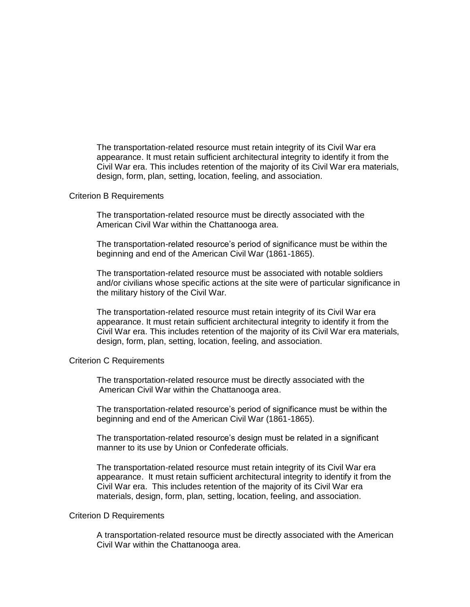The transportation-related resource must retain integrity of its Civil War era appearance. It must retain sufficient architectural integrity to identify it from the Civil War era. This includes retention of the majority of its Civil War era materials, design, form, plan, setting, location, feeling, and association.

#### Criterion B Requirements

The transportation-related resource must be directly associated with the American Civil War within the Chattanooga area.

The transportation-related resource's period of significance must be within the beginning and end of the American Civil War (1861-1865).

The transportation-related resource must be associated with notable soldiers and/or civilians whose specific actions at the site were of particular significance in the military history of the Civil War.

The transportation-related resource must retain integrity of its Civil War era appearance. It must retain sufficient architectural integrity to identify it from the Civil War era. This includes retention of the majority of its Civil War era materials, design, form, plan, setting, location, feeling, and association.

#### Criterion C Requirements

The transportation-related resource must be directly associated with the American Civil War within the Chattanooga area.

The transportation-related resource's period of significance must be within the beginning and end of the American Civil War (1861-1865).

The transportation-related resource's design must be related in a significant manner to its use by Union or Confederate officials.

The transportation-related resource must retain integrity of its Civil War era appearance. It must retain sufficient architectural integrity to identify it from the Civil War era. This includes retention of the majority of its Civil War era materials, design, form, plan, setting, location, feeling, and association.

#### Criterion D Requirements

A transportation-related resource must be directly associated with the American Civil War within the Chattanooga area.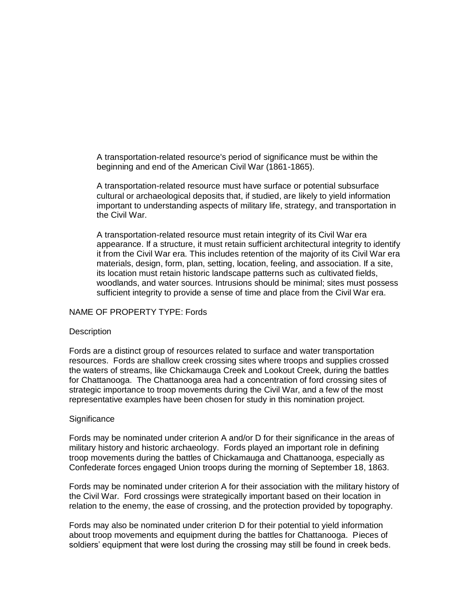A transportation-related resource's period of significance must be within the beginning and end of the American Civil War (1861-1865).

A transportation-related resource must have surface or potential subsurface cultural or archaeological deposits that, if studied, are likely to yield information important to understanding aspects of military life, strategy, and transportation in the Civil War.

A transportation-related resource must retain integrity of its Civil War era appearance. If a structure, it must retain sufficient architectural integrity to identify it from the Civil War era. This includes retention of the majority of its Civil War era materials, design, form, plan, setting, location, feeling, and association. If a site, its location must retain historic landscape patterns such as cultivated fields, woodlands, and water sources. Intrusions should be minimal; sites must possess sufficient integrity to provide a sense of time and place from the Civil War era.

## NAME OF PROPERTY TYPE: Fords

## **Description**

Fords are a distinct group of resources related to surface and water transportation resources. Fords are shallow creek crossing sites where troops and supplies crossed the waters of streams, like Chickamauga Creek and Lookout Creek, during the battles for Chattanooga. The Chattanooga area had a concentration of ford crossing sites of strategic importance to troop movements during the Civil War, and a few of the most representative examples have been chosen for study in this nomination project.

## **Significance**

Fords may be nominated under criterion A and/or D for their significance in the areas of military history and historic archaeology. Fords played an important role in defining troop movements during the battles of Chickamauga and Chattanooga, especially as Confederate forces engaged Union troops during the morning of September 18, 1863.

Fords may be nominated under criterion A for their association with the military history of the Civil War. Ford crossings were strategically important based on their location in relation to the enemy, the ease of crossing, and the protection provided by topography.

Fords may also be nominated under criterion D for their potential to yield information about troop movements and equipment during the battles for Chattanooga. Pieces of soldiers' equipment that were lost during the crossing may still be found in creek beds.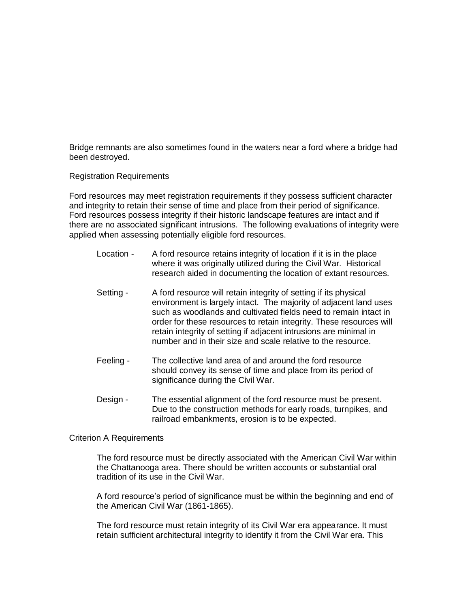Bridge remnants are also sometimes found in the waters near a ford where a bridge had been destroyed.

## Registration Requirements

Ford resources may meet registration requirements if they possess sufficient character and integrity to retain their sense of time and place from their period of significance. Ford resources possess integrity if their historic landscape features are intact and if there are no associated significant intrusions. The following evaluations of integrity were applied when assessing potentially eligible ford resources.

- Location A ford resource retains integrity of location if it is in the place where it was originally utilized during the Civil War. Historical research aided in documenting the location of extant resources.
- Setting A ford resource will retain integrity of setting if its physical environment is largely intact. The majority of adjacent land uses such as woodlands and cultivated fields need to remain intact in order for these resources to retain integrity. These resources will retain integrity of setting if adjacent intrusions are minimal in number and in their size and scale relative to the resource.
- Feeling The collective land area of and around the ford resource should convey its sense of time and place from its period of significance during the Civil War.
- Design The essential alignment of the ford resource must be present. Due to the construction methods for early roads, turnpikes, and railroad embankments, erosion is to be expected.

## Criterion A Requirements

The ford resource must be directly associated with the American Civil War within the Chattanooga area. There should be written accounts or substantial oral tradition of its use in the Civil War.

A ford resource's period of significance must be within the beginning and end of the American Civil War (1861-1865).

The ford resource must retain integrity of its Civil War era appearance. It must retain sufficient architectural integrity to identify it from the Civil War era. This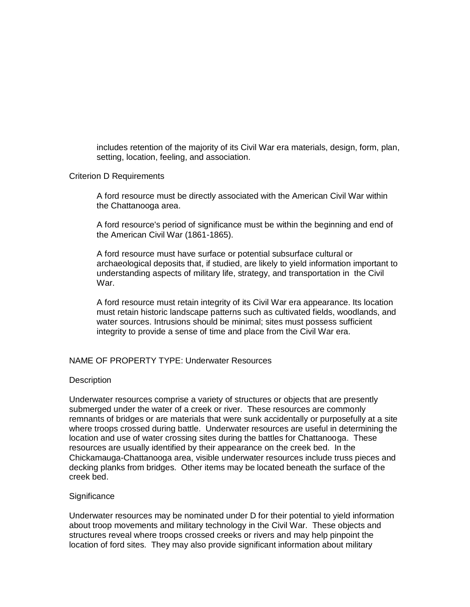includes retention of the majority of its Civil War era materials, design, form, plan, setting, location, feeling, and association.

## Criterion D Requirements

A ford resource must be directly associated with the American Civil War within the Chattanooga area.

A ford resource's period of significance must be within the beginning and end of the American Civil War (1861-1865).

A ford resource must have surface or potential subsurface cultural or archaeological deposits that, if studied, are likely to yield information important to understanding aspects of military life, strategy, and transportation in the Civil War.

A ford resource must retain integrity of its Civil War era appearance. Its location must retain historic landscape patterns such as cultivated fields, woodlands, and water sources. Intrusions should be minimal; sites must possess sufficient integrity to provide a sense of time and place from the Civil War era.

## NAME OF PROPERTY TYPE: Underwater Resources

## **Description**

Underwater resources comprise a variety of structures or objects that are presently submerged under the water of a creek or river. These resources are commonly remnants of bridges or are materials that were sunk accidentally or purposefully at a site where troops crossed during battle. Underwater resources are useful in determining the location and use of water crossing sites during the battles for Chattanooga. These resources are usually identified by their appearance on the creek bed. In the Chickamauga-Chattanooga area, visible underwater resources include truss pieces and decking planks from bridges. Other items may be located beneath the surface of the creek bed.

## **Significance**

Underwater resources may be nominated under D for their potential to yield information about troop movements and military technology in the Civil War. These objects and structures reveal where troops crossed creeks or rivers and may help pinpoint the location of ford sites. They may also provide significant information about military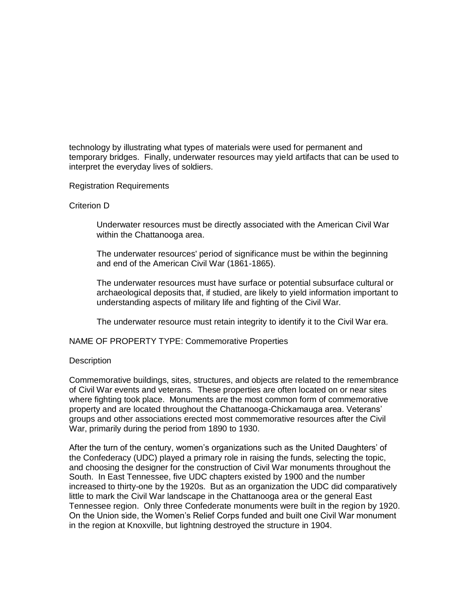technology by illustrating what types of materials were used for permanent and temporary bridges. Finally, underwater resources may yield artifacts that can be used to interpret the everyday lives of soldiers.

Registration Requirements

## Criterion D

Underwater resources must be directly associated with the American Civil War within the Chattanooga area.

The underwater resources' period of significance must be within the beginning and end of the American Civil War (1861-1865).

The underwater resources must have surface or potential subsurface cultural or archaeological deposits that, if studied, are likely to yield information important to understanding aspects of military life and fighting of the Civil War.

The underwater resource must retain integrity to identify it to the Civil War era.

NAME OF PROPERTY TYPE: Commemorative Properties

## **Description**

Commemorative buildings, sites, structures, and objects are related to the remembrance of Civil War events and veterans. These properties are often located on or near sites where fighting took place. Monuments are the most common form of commemorative property and are located throughout the Chattanooga-Chickamauga area. Veterans' groups and other associations erected most commemorative resources after the Civil War, primarily during the period from 1890 to 1930.

After the turn of the century, women's organizations such as the United Daughters' of the Confederacy (UDC) played a primary role in raising the funds, selecting the topic, and choosing the designer for the construction of Civil War monuments throughout the South. In East Tennessee, five UDC chapters existed by 1900 and the number increased to thirty-one by the 1920s. But as an organization the UDC did comparatively little to mark the Civil War landscape in the Chattanooga area or the general East Tennessee region. Only three Confederate monuments were built in the region by 1920. On the Union side, the Women's Relief Corps funded and built one Civil War monument in the region at Knoxville, but lightning destroyed the structure in 1904.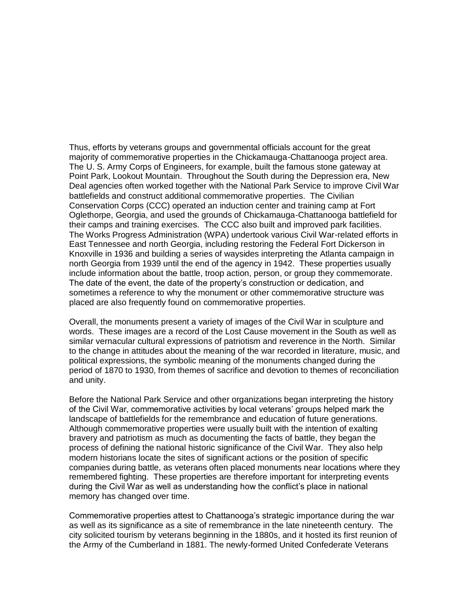Thus, efforts by veterans groups and governmental officials account for the great majority of commemorative properties in the Chickamauga-Chattanooga project area. The U. S. Army Corps of Engineers, for example, built the famous stone gateway at Point Park, Lookout Mountain. Throughout the South during the Depression era, New Deal agencies often worked together with the National Park Service to improve Civil War battlefields and construct additional commemorative properties. The Civilian Conservation Corps (CCC) operated an induction center and training camp at Fort Oglethorpe, Georgia, and used the grounds of Chickamauga-Chattanooga battlefield for their camps and training exercises. The CCC also built and improved park facilities. The Works Progress Administration (WPA) undertook various Civil War-related efforts in East Tennessee and north Georgia, including restoring the Federal Fort Dickerson in Knoxville in 1936 and building a series of waysides interpreting the Atlanta campaign in north Georgia from 1939 until the end of the agency in 1942. These properties usually include information about the battle, troop action, person, or group they commemorate. The date of the event, the date of the property's construction or dedication, and sometimes a reference to why the monument or other commemorative structure was placed are also frequently found on commemorative properties.

Overall, the monuments present a variety of images of the Civil War in sculpture and words. These images are a record of the Lost Cause movement in the South as well as similar vernacular cultural expressions of patriotism and reverence in the North. Similar to the change in attitudes about the meaning of the war recorded in literature, music, and political expressions, the symbolic meaning of the monuments changed during the period of 1870 to 1930, from themes of sacrifice and devotion to themes of reconciliation and unity.

Before the National Park Service and other organizations began interpreting the history of the Civil War, commemorative activities by local veterans' groups helped mark the landscape of battlefields for the remembrance and education of future generations. Although commemorative properties were usually built with the intention of exalting bravery and patriotism as much as documenting the facts of battle, they began the process of defining the national historic significance of the Civil War. They also help modern historians locate the sites of significant actions or the position of specific companies during battle, as veterans often placed monuments near locations where they remembered fighting. These properties are therefore important for interpreting events during the Civil War as well as understanding how the conflict's place in national memory has changed over time.

Commemorative properties attest to Chattanooga's strategic importance during the war as well as its significance as a site of remembrance in the late nineteenth century. The city solicited tourism by veterans beginning in the 1880s, and it hosted its first reunion of the Army of the Cumberland in 1881. The newly-formed United Confederate Veterans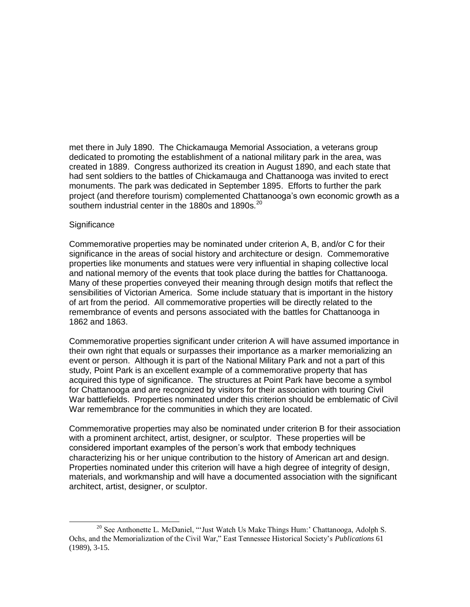met there in July 1890. The Chickamauga Memorial Association, a veterans group dedicated to promoting the establishment of a national military park in the area, was created in 1889. Congress authorized its creation in August 1890, and each state that had sent soldiers to the battles of Chickamauga and Chattanooga was invited to erect monuments. The park was dedicated in September 1895. Efforts to further the park project (and therefore tourism) complemented Chattanooga's own economic growth as a southern industrial center in the 1880s and 1890s. $^{20}$ 

## **Significance**

 $\overline{\phantom{a}}$ 

Commemorative properties may be nominated under criterion A, B, and/or C for their significance in the areas of social history and architecture or design. Commemorative properties like monuments and statues were very influential in shaping collective local and national memory of the events that took place during the battles for Chattanooga. Many of these properties conveyed their meaning through design motifs that reflect the sensibilities of Victorian America. Some include statuary that is important in the history of art from the period. All commemorative properties will be directly related to the remembrance of events and persons associated with the battles for Chattanooga in 1862 and 1863.

Commemorative properties significant under criterion A will have assumed importance in their own right that equals or surpasses their importance as a marker memorializing an event or person. Although it is part of the National Military Park and not a part of this study, Point Park is an excellent example of a commemorative property that has acquired this type of significance. The structures at Point Park have become a symbol for Chattanooga and are recognized by visitors for their association with touring Civil War battlefields. Properties nominated under this criterion should be emblematic of Civil War remembrance for the communities in which they are located.

Commemorative properties may also be nominated under criterion B for their association with a prominent architect, artist, designer, or sculptor. These properties will be considered important examples of the person's work that embody techniques characterizing his or her unique contribution to the history of American art and design. Properties nominated under this criterion will have a high degree of integrity of design, materials, and workmanship and will have a documented association with the significant architect, artist, designer, or sculptor.

<sup>&</sup>lt;sup>20</sup> See Anthonette L. McDaniel, "'Just Watch Us Make Things Hum:' Chattanooga, Adolph S. Ochs, and the Memorialization of the Civil War," East Tennessee Historical Society"s *Publications* 61 (1989), 3-15.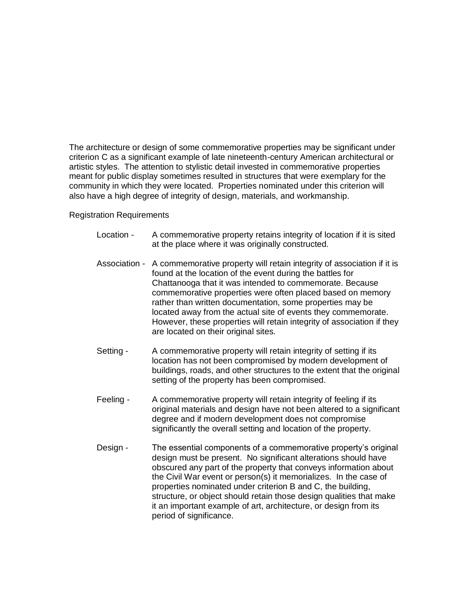The architecture or design of some commemorative properties may be significant under criterion C as a significant example of late nineteenth-century American architectural or artistic styles. The attention to stylistic detail invested in commemorative properties meant for public display sometimes resulted in structures that were exemplary for the community in which they were located. Properties nominated under this criterion will also have a high degree of integrity of design, materials, and workmanship.

## Registration Requirements

- Location A commemorative property retains integrity of location if it is sited at the place where it was originally constructed.
- Association A commemorative property will retain integrity of association if it is found at the location of the event during the battles for Chattanooga that it was intended to commemorate. Because commemorative properties were often placed based on memory rather than written documentation, some properties may be located away from the actual site of events they commemorate. However, these properties will retain integrity of association if they are located on their original sites.
- Setting A commemorative property will retain integrity of setting if its location has not been compromised by modern development of buildings, roads, and other structures to the extent that the original setting of the property has been compromised.
- Feeling A commemorative property will retain integrity of feeling if its original materials and design have not been altered to a significant degree and if modern development does not compromise significantly the overall setting and location of the property.
- Design The essential components of a commemorative property's original design must be present. No significant alterations should have obscured any part of the property that conveys information about the Civil War event or person(s) it memorializes. In the case of properties nominated under criterion B and C, the building, structure, or object should retain those design qualities that make it an important example of art, architecture, or design from its period of significance.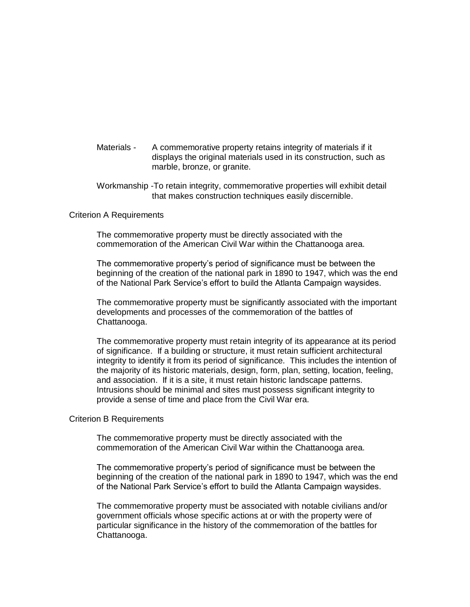- Materials A commemorative property retains integrity of materials if it displays the original materials used in its construction, such as marble, bronze, or granite.
- Workmanship -To retain integrity, commemorative properties will exhibit detail that makes construction techniques easily discernible.

#### Criterion A Requirements

The commemorative property must be directly associated with the commemoration of the American Civil War within the Chattanooga area.

The commemorative property's period of significance must be between the beginning of the creation of the national park in 1890 to 1947, which was the end of the National Park Service's effort to build the Atlanta Campaign waysides.

The commemorative property must be significantly associated with the important developments and processes of the commemoration of the battles of Chattanooga.

The commemorative property must retain integrity of its appearance at its period of significance. If a building or structure, it must retain sufficient architectural integrity to identify it from its period of significance. This includes the intention of the majority of its historic materials, design, form, plan, setting, location, feeling, and association. If it is a site, it must retain historic landscape patterns. Intrusions should be minimal and sites must possess significant integrity to provide a sense of time and place from the Civil War era.

#### Criterion B Requirements

The commemorative property must be directly associated with the commemoration of the American Civil War within the Chattanooga area.

The commemorative property's period of significance must be between the beginning of the creation of the national park in 1890 to 1947, which was the end of the National Park Service's effort to build the Atlanta Campaign waysides.

The commemorative property must be associated with notable civilians and/or government officials whose specific actions at or with the property were of particular significance in the history of the commemoration of the battles for Chattanooga.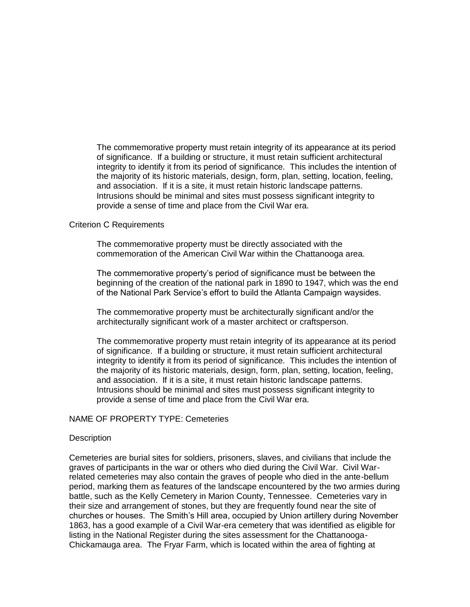The commemorative property must retain integrity of its appearance at its period of significance. If a building or structure, it must retain sufficient architectural integrity to identify it from its period of significance. This includes the intention of the majority of its historic materials, design, form, plan, setting, location, feeling, and association. If it is a site, it must retain historic landscape patterns. Intrusions should be minimal and sites must possess significant integrity to provide a sense of time and place from the Civil War era.

## Criterion C Requirements

The commemorative property must be directly associated with the commemoration of the American Civil War within the Chattanooga area.

The commemorative property's period of significance must be between the beginning of the creation of the national park in 1890 to 1947, which was the end of the National Park Service's effort to build the Atlanta Campaign waysides.

The commemorative property must be architecturally significant and/or the architecturally significant work of a master architect or craftsperson.

The commemorative property must retain integrity of its appearance at its period of significance. If a building or structure, it must retain sufficient architectural integrity to identify it from its period of significance. This includes the intention of the majority of its historic materials, design, form, plan, setting, location, feeling, and association. If it is a site, it must retain historic landscape patterns. Intrusions should be minimal and sites must possess significant integrity to provide a sense of time and place from the Civil War era.

## NAME OF PROPERTY TYPE: Cemeteries

## **Description**

Cemeteries are burial sites for soldiers, prisoners, slaves, and civilians that include the graves of participants in the war or others who died during the Civil War. Civil Warrelated cemeteries may also contain the graves of people who died in the ante-bellum period, marking them as features of the landscape encountered by the two armies during battle, such as the Kelly Cemetery in Marion County, Tennessee. Cemeteries vary in their size and arrangement of stones, but they are frequently found near the site of churches or houses. The Smith's Hill area, occupied by Union artillery during November 1863, has a good example of a Civil War-era cemetery that was identified as eligible for listing in the National Register during the sites assessment for the Chattanooga-Chickamauga area. The Fryar Farm, which is located within the area of fighting at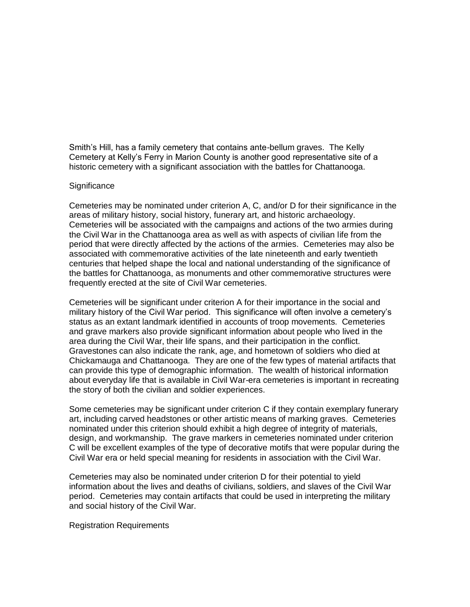Smith's Hill, has a family cemetery that contains ante-bellum graves. The Kelly Cemetery at Kelly's Ferry in Marion County is another good representative site of a historic cemetery with a significant association with the battles for Chattanooga.

## **Significance**

Cemeteries may be nominated under criterion A, C, and/or D for their significance in the areas of military history, social history, funerary art, and historic archaeology. Cemeteries will be associated with the campaigns and actions of the two armies during the Civil War in the Chattanooga area as well as with aspects of civilian life from the period that were directly affected by the actions of the armies. Cemeteries may also be associated with commemorative activities of the late nineteenth and early twentieth centuries that helped shape the local and national understanding of the significance of the battles for Chattanooga, as monuments and other commemorative structures were frequently erected at the site of Civil War cemeteries.

Cemeteries will be significant under criterion A for their importance in the social and military history of the Civil War period. This significance will often involve a cemetery's status as an extant landmark identified in accounts of troop movements. Cemeteries and grave markers also provide significant information about people who lived in the area during the Civil War, their life spans, and their participation in the conflict. Gravestones can also indicate the rank, age, and hometown of soldiers who died at Chickamauga and Chattanooga. They are one of the few types of material artifacts that can provide this type of demographic information. The wealth of historical information about everyday life that is available in Civil War-era cemeteries is important in recreating the story of both the civilian and soldier experiences.

Some cemeteries may be significant under criterion C if they contain exemplary funerary art, including carved headstones or other artistic means of marking graves. Cemeteries nominated under this criterion should exhibit a high degree of integrity of materials, design, and workmanship. The grave markers in cemeteries nominated under criterion C will be excellent examples of the type of decorative motifs that were popular during the Civil War era or held special meaning for residents in association with the Civil War.

Cemeteries may also be nominated under criterion D for their potential to yield information about the lives and deaths of civilians, soldiers, and slaves of the Civil War period. Cemeteries may contain artifacts that could be used in interpreting the military and social history of the Civil War.

#### Registration Requirements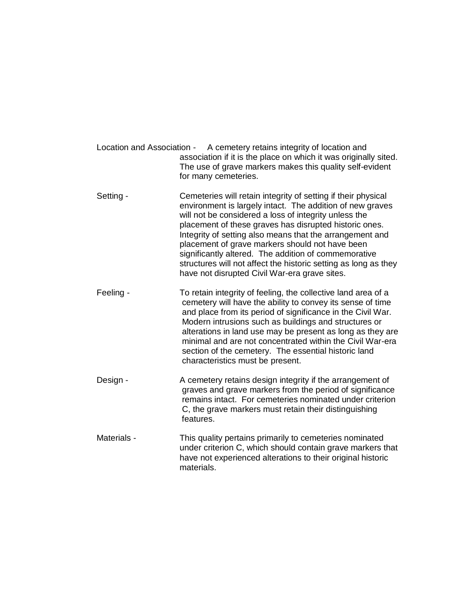- Location and Association A cemetery retains integrity of location and association if it is the place on which it was originally sited. The use of grave markers makes this quality self-evident for many cemeteries.
- Setting Cemeteries will retain integrity of setting if their physical environment is largely intact. The addition of new graves will not be considered a loss of integrity unless the placement of these graves has disrupted historic ones. Integrity of setting also means that the arrangement and placement of grave markers should not have been significantly altered. The addition of commemorative structures will not affect the historic setting as long as they have not disrupted Civil War-era grave sites.
- Feeling To retain integrity of feeling, the collective land area of a cemetery will have the ability to convey its sense of time and place from its period of significance in the Civil War. Modern intrusions such as buildings and structures or alterations in land use may be present as long as they are minimal and are not concentrated within the Civil War-era section of the cemetery. The essential historic land characteristics must be present.
- Design A cemetery retains design integrity if the arrangement of graves and grave markers from the period of significance remains intact. For cemeteries nominated under criterion C, the grave markers must retain their distinguishing features.
- Materials This quality pertains primarily to cemeteries nominated under criterion C, which should contain grave markers that have not experienced alterations to their original historic materials.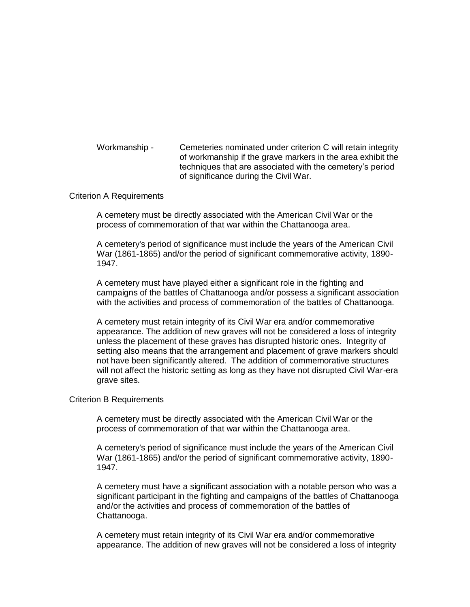Workmanship - Cemeteries nominated under criterion C will retain integrity of workmanship if the grave markers in the area exhibit the techniques that are associated with the cemetery's period of significance during the Civil War.

## Criterion A Requirements

A cemetery must be directly associated with the American Civil War or the process of commemoration of that war within the Chattanooga area.

A cemetery's period of significance must include the years of the American Civil War (1861-1865) and/or the period of significant commemorative activity, 1890- 1947.

A cemetery must have played either a significant role in the fighting and campaigns of the battles of Chattanooga and/or possess a significant association with the activities and process of commemoration of the battles of Chattanooga.

A cemetery must retain integrity of its Civil War era and/or commemorative appearance. The addition of new graves will not be considered a loss of integrity unless the placement of these graves has disrupted historic ones. Integrity of setting also means that the arrangement and placement of grave markers should not have been significantly altered. The addition of commemorative structures will not affect the historic setting as long as they have not disrupted Civil War-era grave sites.

#### Criterion B Requirements

A cemetery must be directly associated with the American Civil War or the process of commemoration of that war within the Chattanooga area.

A cemetery's period of significance must include the years of the American Civil War (1861-1865) and/or the period of significant commemorative activity, 1890- 1947.

A cemetery must have a significant association with a notable person who was a significant participant in the fighting and campaigns of the battles of Chattanooga and/or the activities and process of commemoration of the battles of Chattanooga.

A cemetery must retain integrity of its Civil War era and/or commemorative appearance. The addition of new graves will not be considered a loss of integrity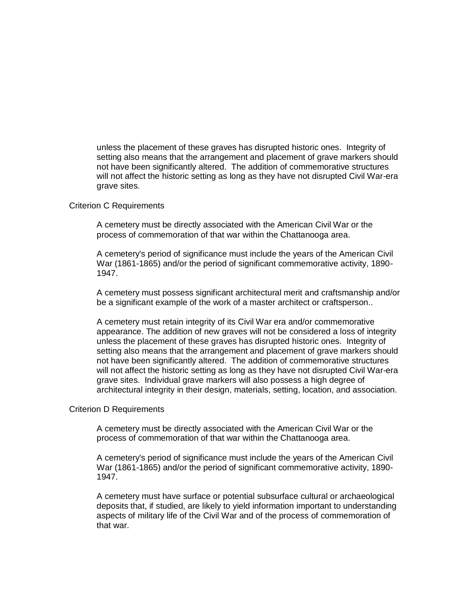unless the placement of these graves has disrupted historic ones. Integrity of setting also means that the arrangement and placement of grave markers should not have been significantly altered. The addition of commemorative structures will not affect the historic setting as long as they have not disrupted Civil War-era grave sites.

#### Criterion C Requirements

A cemetery must be directly associated with the American Civil War or the process of commemoration of that war within the Chattanooga area.

A cemetery's period of significance must include the years of the American Civil War (1861-1865) and/or the period of significant commemorative activity, 1890- 1947.

A cemetery must possess significant architectural merit and craftsmanship and/or be a significant example of the work of a master architect or craftsperson..

A cemetery must retain integrity of its Civil War era and/or commemorative appearance. The addition of new graves will not be considered a loss of integrity unless the placement of these graves has disrupted historic ones. Integrity of setting also means that the arrangement and placement of grave markers should not have been significantly altered. The addition of commemorative structures will not affect the historic setting as long as they have not disrupted Civil War-era grave sites. Individual grave markers will also possess a high degree of architectural integrity in their design, materials, setting, location, and association.

## Criterion D Requirements

A cemetery must be directly associated with the American Civil War or the process of commemoration of that war within the Chattanooga area.

A cemetery's period of significance must include the years of the American Civil War (1861-1865) and/or the period of significant commemorative activity, 1890- 1947.

A cemetery must have surface or potential subsurface cultural or archaeological deposits that, if studied, are likely to yield information important to understanding aspects of military life of the Civil War and of the process of commemoration of that war.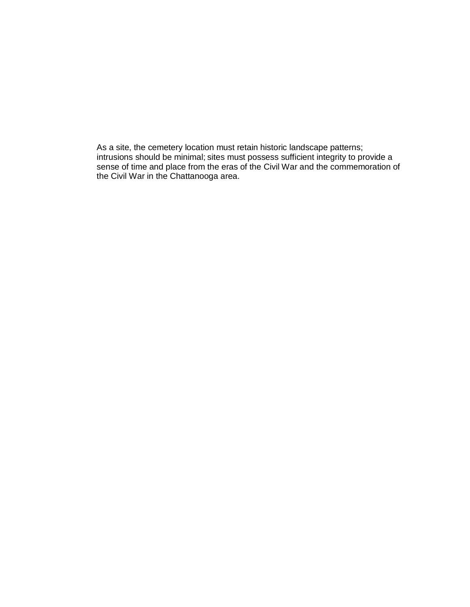As a site, the cemetery location must retain historic landscape patterns; intrusions should be minimal; sites must possess sufficient integrity to provide a sense of time and place from the eras of the Civil War and the commemoration of the Civil War in the Chattanooga area.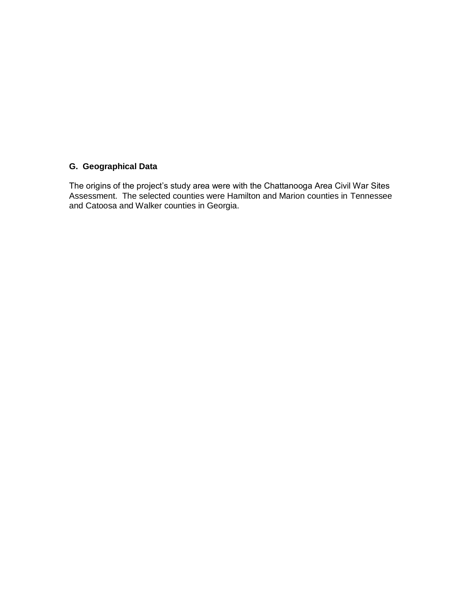# **G. Geographical Data**

The origins of the project's study area were with the Chattanooga Area Civil War Sites Assessment. The selected counties were Hamilton and Marion counties in Tennessee and Catoosa and Walker counties in Georgia.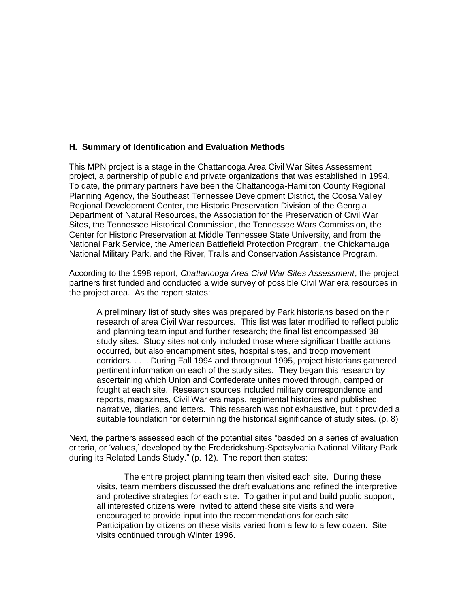## **H. Summary of Identification and Evaluation Methods**

This MPN project is a stage in the Chattanooga Area Civil War Sites Assessment project, a partnership of public and private organizations that was established in 1994. To date, the primary partners have been the Chattanooga-Hamilton County Regional Planning Agency, the Southeast Tennessee Development District, the Coosa Valley Regional Development Center, the Historic Preservation Division of the Georgia Department of Natural Resources, the Association for the Preservation of Civil War Sites, the Tennessee Historical Commission, the Tennessee Wars Commission, the Center for Historic Preservation at Middle Tennessee State University, and from the National Park Service, the American Battlefield Protection Program, the Chickamauga National Military Park, and the River, Trails and Conservation Assistance Program.

According to the 1998 report, *Chattanooga Area Civil War Sites Assessment*, the project partners first funded and conducted a wide survey of possible Civil War era resources in the project area. As the report states:

A preliminary list of study sites was prepared by Park historians based on their research of area Civil War resources. This list was later modified to reflect public and planning team input and further research; the final list encompassed 38 study sites. Study sites not only included those where significant battle actions occurred, but also encampment sites, hospital sites, and troop movement corridors. . . . During Fall 1994 and throughout 1995, project historians gathered pertinent information on each of the study sites. They began this research by ascertaining which Union and Confederate unites moved through, camped or fought at each site. Research sources included military correspondence and reports, magazines, Civil War era maps, regimental histories and published narrative, diaries, and letters. This research was not exhaustive, but it provided a suitable foundation for determining the historical significance of study sites. (p. 8)

Next, the partners assessed each of the potential sites "basded on a series of evaluation criteria, or 'values,' developed by the Fredericksburg-Spotsylvania National Military Park during its Related Lands Study." (p. 12). The report then states:

The entire project planning team then visited each site. During these visits, team members discussed the draft evaluations and refined the interpretive and protective strategies for each site. To gather input and build public support, all interested citizens were invited to attend these site visits and were encouraged to provide input into the recommendations for each site. Participation by citizens on these visits varied from a few to a few dozen. Site visits continued through Winter 1996.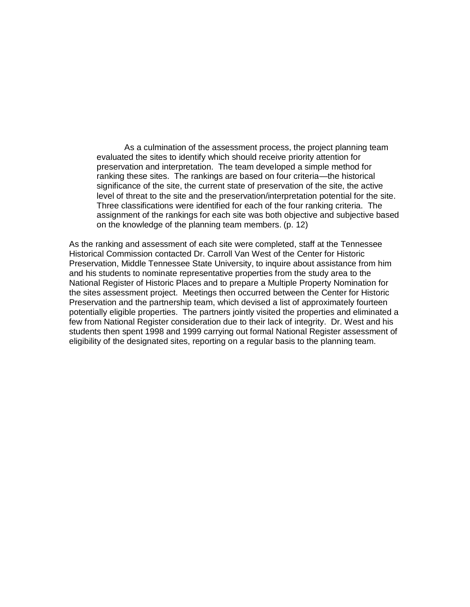As a culmination of the assessment process, the project planning team evaluated the sites to identify which should receive priority attention for preservation and interpretation. The team developed a simple method for ranking these sites. The rankings are based on four criteria—the historical significance of the site, the current state of preservation of the site, the active level of threat to the site and the preservation/interpretation potential for the site. Three classifications were identified for each of the four ranking criteria. The assignment of the rankings for each site was both objective and subjective based on the knowledge of the planning team members. (p. 12)

As the ranking and assessment of each site were completed, staff at the Tennessee Historical Commission contacted Dr. Carroll Van West of the Center for Historic Preservation, Middle Tennessee State University, to inquire about assistance from him and his students to nominate representative properties from the study area to the National Register of Historic Places and to prepare a Multiple Property Nomination for the sites assessment project. Meetings then occurred between the Center for Historic Preservation and the partnership team, which devised a list of approximately fourteen potentially eligible properties. The partners jointly visited the properties and eliminated a few from National Register consideration due to their lack of integrity. Dr. West and his students then spent 1998 and 1999 carrying out formal National Register assessment of eligibility of the designated sites, reporting on a regular basis to the planning team.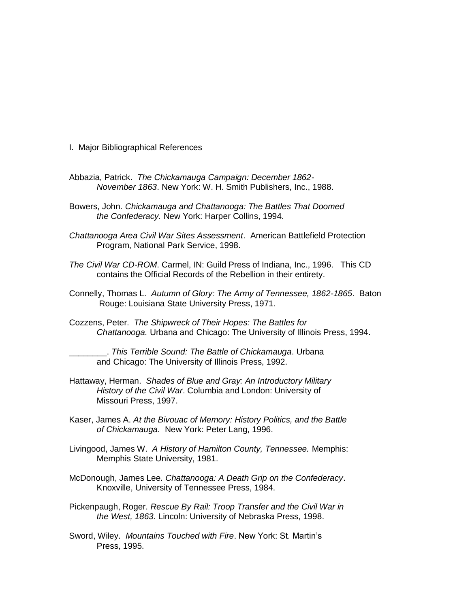- I. Major Bibliographical References
- Abbazia, Patrick. *The Chickamauga Campaign: December 1862- November 1863*. New York: W. H. Smith Publishers, Inc., 1988.
- Bowers, John. *Chickamauga and Chattanooga: The Battles That Doomed the Confederacy.* New York: Harper Collins, 1994.
- *Chattanooga Area Civil War Sites Assessment*. American Battlefield Protection Program, National Park Service, 1998.
- *The Civil War CD-ROM*. Carmel, IN: Guild Press of Indiana, Inc., 1996. This CD contains the Official Records of the Rebellion in their entirety.
- Connelly, Thomas L. *Autumn of Glory: The Army of Tennessee, 1862-1865*. Baton Rouge: Louisiana State University Press, 1971.
- Cozzens, Peter. *The Shipwreck of Their Hopes: The Battles for Chattanooga.* Urbana and Chicago: The University of Illinois Press, 1994.

\_\_\_\_\_\_\_\_. *This Terrible Sound: The Battle of Chickamauga*. Urbana and Chicago: The University of Illinois Press, 1992.

- Hattaway, Herman. *Shades of Blue and Gray: An Introductory Military History of the Civil War*. Columbia and London: University of Missouri Press, 1997.
- Kaser, James A. *At the Bivouac of Memory: History Politics, and the Battle of Chickamauga.* New York: Peter Lang, 1996.
- Livingood, James W. *A History of Hamilton County, Tennessee.* Memphis: Memphis State University, 1981.
- McDonough, James Lee. *Chattanooga: A Death Grip on the Confederacy*. Knoxville, University of Tennessee Press, 1984.
- Pickenpaugh, Roger. *Rescue By Rail: Troop Transfer and the Civil War in the West, 1863.* Lincoln: University of Nebraska Press, 1998.
- Sword, Wiley. *Mountains Touched with Fire*. New York: St. Martin's Press, 1995.